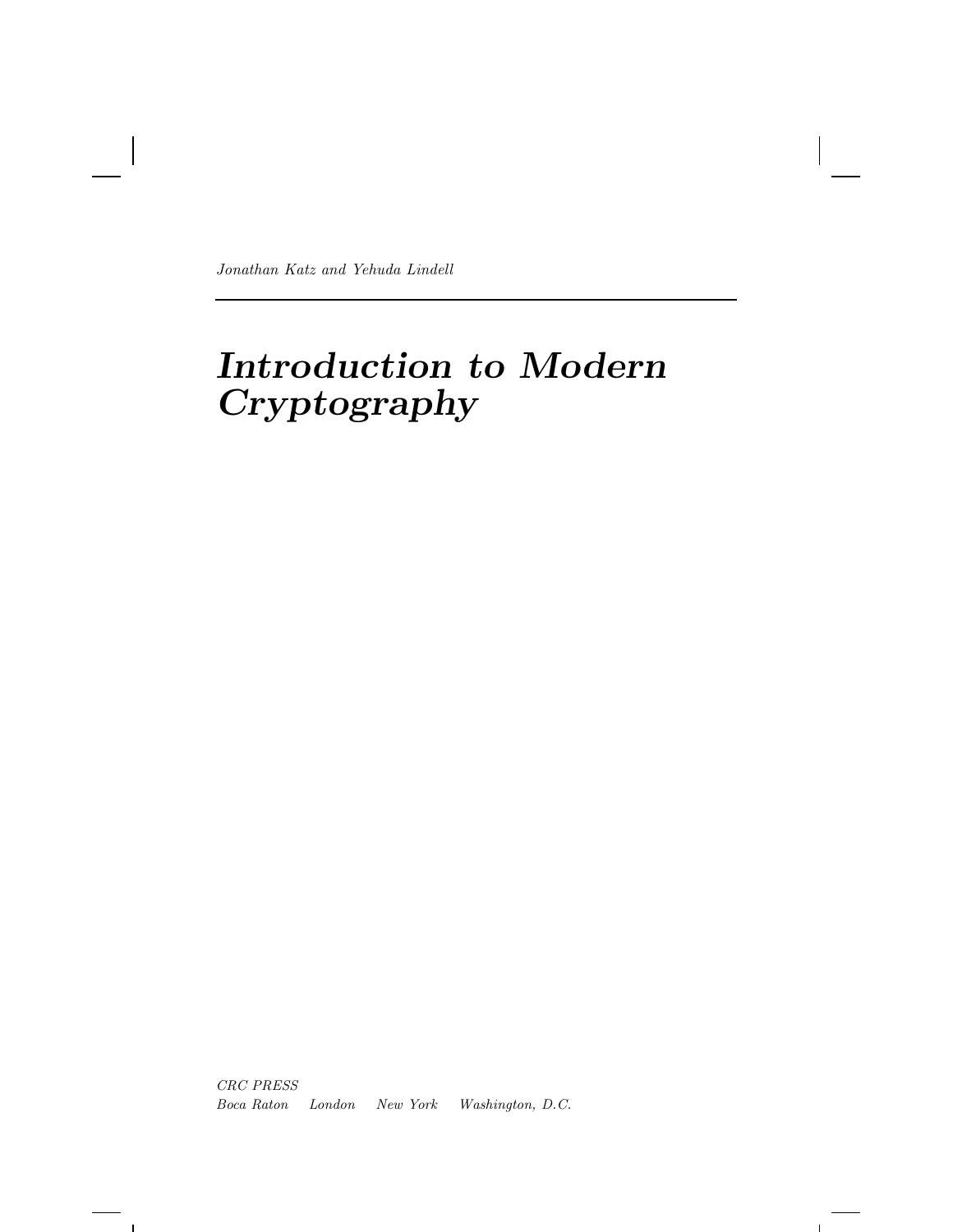Jonathan Katz and Yehuda Lindell

# Introduction to Modern Cryptography

 $CRC\ PRESS$ Boca Raton London New York Washington, D.C.

 $\mathbf{I}$ 

 $\mathbf{I}$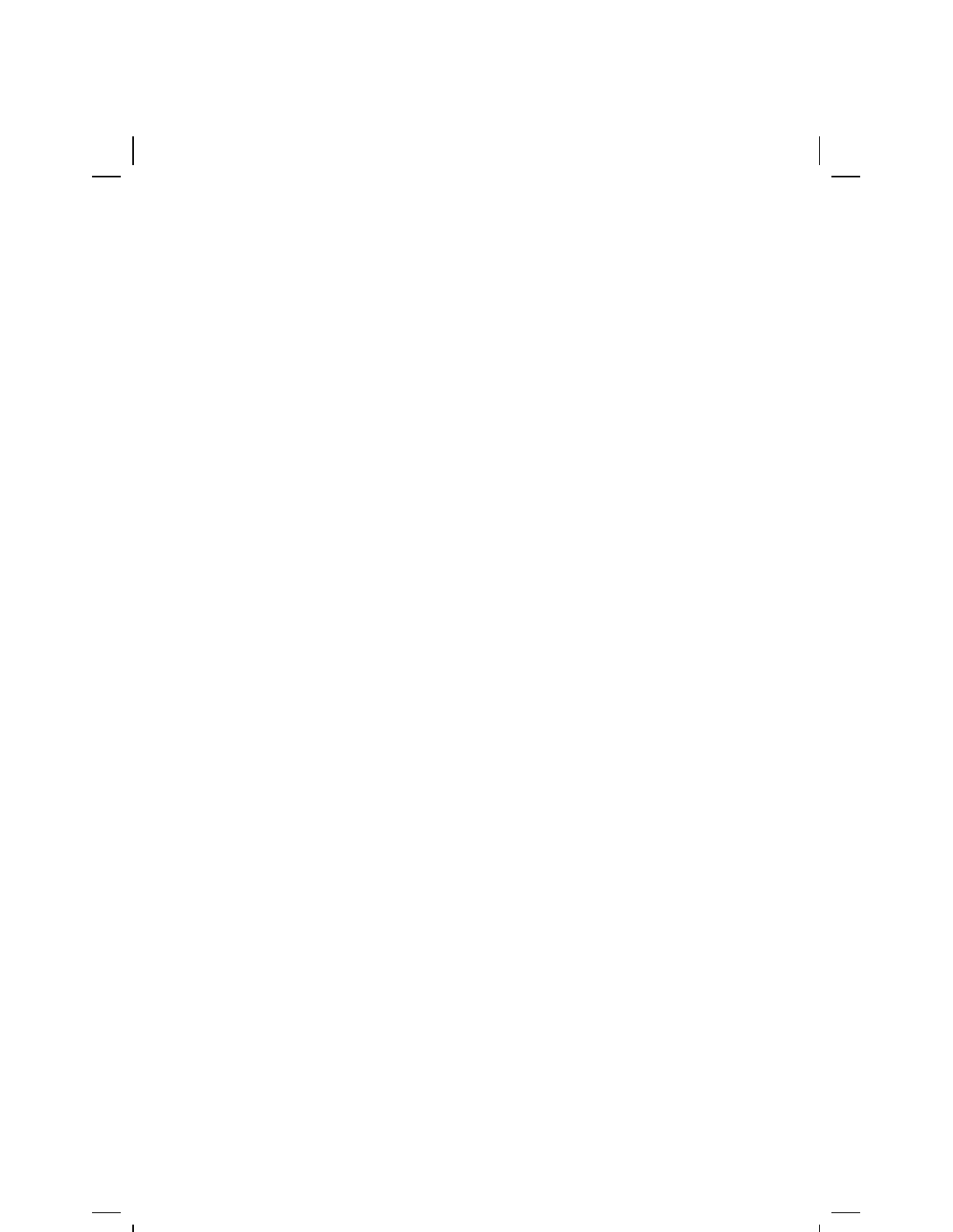$\frac{1}{2}$  $\begin{array}{c} \begin{array}{c} \end{array} \\ \begin{array}{c} \end{array} \end{array}$ 

 $\overline{1}$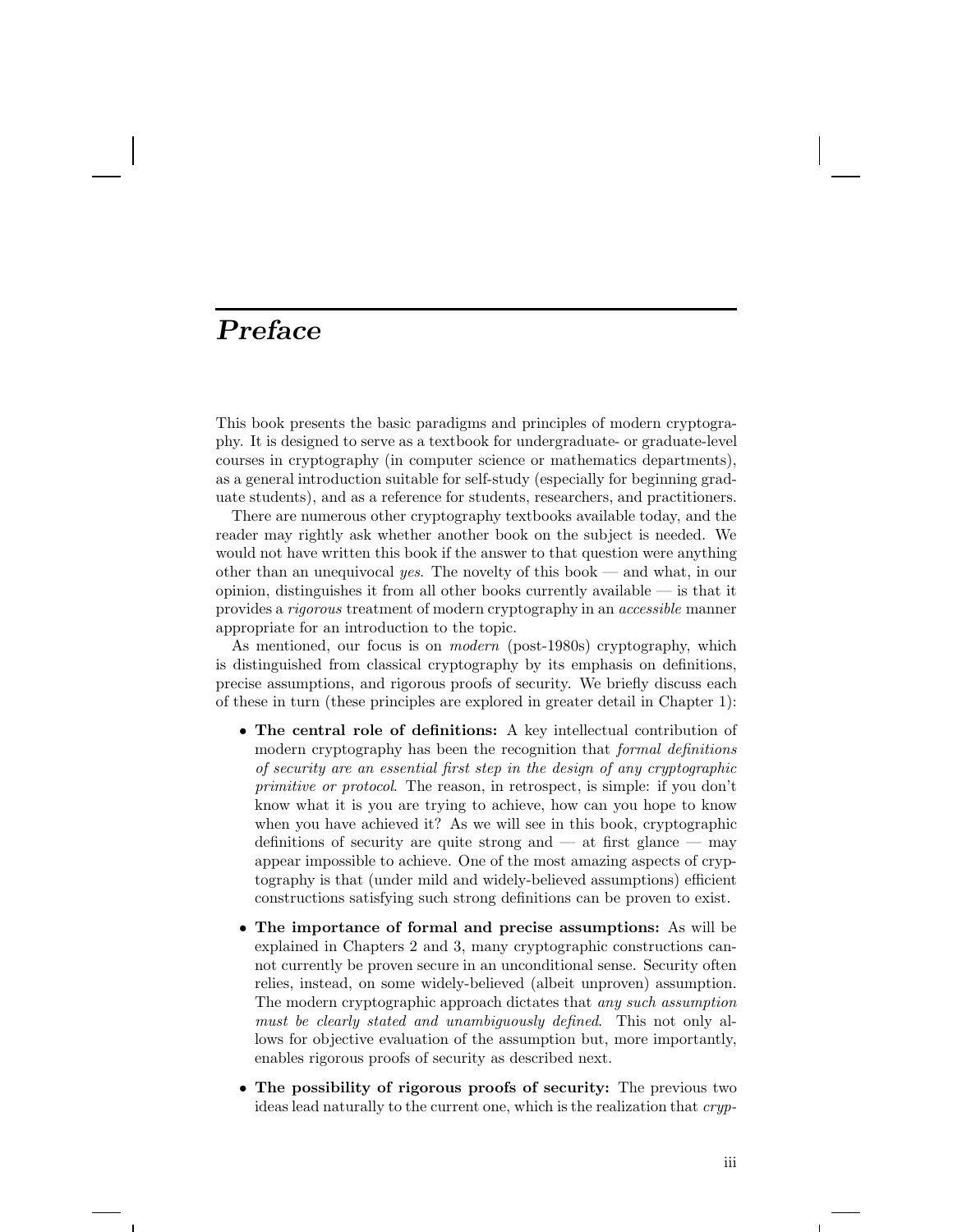### Preface

This book presents the basic paradigms and principles of modern cryptography. It is designed to serve as a textbook for undergraduate- or graduate-level courses in cryptography (in computer science or mathematics departments), as a general introduction suitable for self-study (especially for beginning graduate students), and as a reference for students, researchers, and practitioners.

There are numerous other cryptography textbooks available today, and the reader may rightly ask whether another book on the subject is needed. We would not have written this book if the answer to that question were anything other than an unequivocal yes. The novelty of this book — and what, in our opinion, distinguishes it from all other books currently available — is that it provides a rigorous treatment of modern cryptography in an accessible manner appropriate for an introduction to the topic.

As mentioned, our focus is on modern (post-1980s) cryptography, which is distinguished from classical cryptography by its emphasis on definitions, precise assumptions, and rigorous proofs of security. We briefly discuss each of these in turn (these principles are explored in greater detail in Chapter 1):

- The central role of definitions: A key intellectual contribution of modern cryptography has been the recognition that *formal definitions* of security are an essential first step in the design of any cryptographic primitive or protocol. The reason, in retrospect, is simple: if you don't know what it is you are trying to achieve, how can you hope to know when you have achieved it? As we will see in this book, cryptographic definitions of security are quite strong and  $-$  at first glance  $-$  may appear impossible to achieve. One of the most amazing aspects of cryptography is that (under mild and widely-believed assumptions) efficient constructions satisfying such strong definitions can be proven to exist.
- The importance of formal and precise assumptions: As will be explained in Chapters 2 and 3, many cryptographic constructions cannot currently be proven secure in an unconditional sense. Security often relies, instead, on some widely-believed (albeit unproven) assumption. The modern cryptographic approach dictates that any such assumption must be clearly stated and unambiguously defined. This not only allows for objective evaluation of the assumption but, more importantly, enables rigorous proofs of security as described next.
- The possibility of rigorous proofs of security: The previous two ideas lead naturally to the current one, which is the realization that cryp-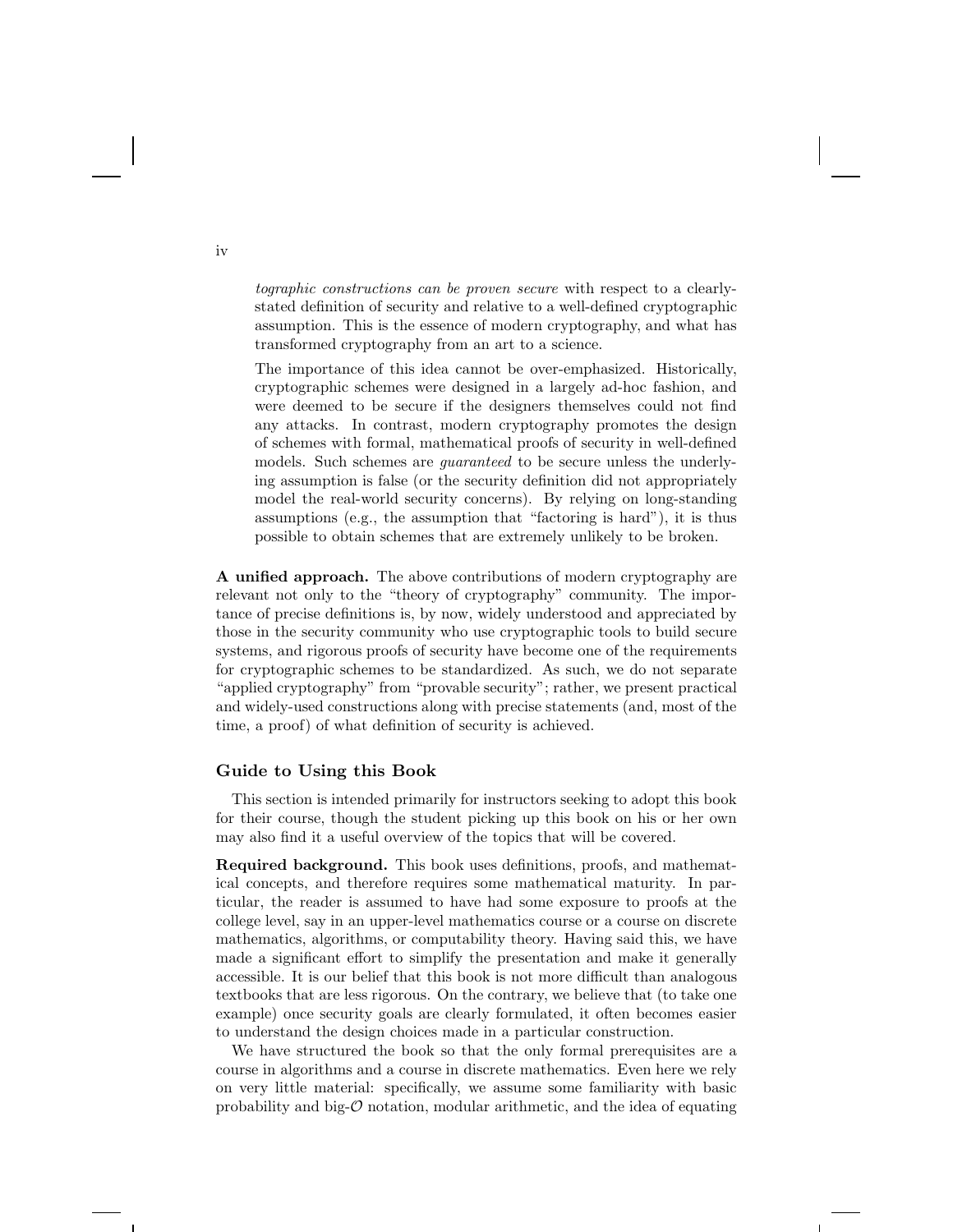tographic constructions can be proven secure with respect to a clearlystated definition of security and relative to a well-defined cryptographic assumption. This is the essence of modern cryptography, and what has transformed cryptography from an art to a science.

The importance of this idea cannot be over-emphasized. Historically, cryptographic schemes were designed in a largely ad-hoc fashion, and were deemed to be secure if the designers themselves could not find any attacks. In contrast, modern cryptography promotes the design of schemes with formal, mathematical proofs of security in well-defined models. Such schemes are guaranteed to be secure unless the underlying assumption is false (or the security definition did not appropriately model the real-world security concerns). By relying on long-standing assumptions (e.g., the assumption that "factoring is hard"), it is thus possible to obtain schemes that are extremely unlikely to be broken.

A unified approach. The above contributions of modern cryptography are relevant not only to the "theory of cryptography" community. The importance of precise definitions is, by now, widely understood and appreciated by those in the security community who use cryptographic tools to build secure systems, and rigorous proofs of security have become one of the requirements for cryptographic schemes to be standardized. As such, we do not separate "applied cryptography" from "provable security"; rather, we present practical and widely-used constructions along with precise statements (and, most of the time, a proof) of what definition of security is achieved.

#### Guide to Using this Book

This section is intended primarily for instructors seeking to adopt this book for their course, though the student picking up this book on his or her own may also find it a useful overview of the topics that will be covered.

Required background. This book uses definitions, proofs, and mathematical concepts, and therefore requires some mathematical maturity. In particular, the reader is assumed to have had some exposure to proofs at the college level, say in an upper-level mathematics course or a course on discrete mathematics, algorithms, or computability theory. Having said this, we have made a significant effort to simplify the presentation and make it generally accessible. It is our belief that this book is not more difficult than analogous textbooks that are less rigorous. On the contrary, we believe that (to take one example) once security goals are clearly formulated, it often becomes easier to understand the design choices made in a particular construction.

We have structured the book so that the only formal prerequisites are a course in algorithms and a course in discrete mathematics. Even here we rely on very little material: specifically, we assume some familiarity with basic probability and big- $\mathcal O$  notation, modular arithmetic, and the idea of equating

iv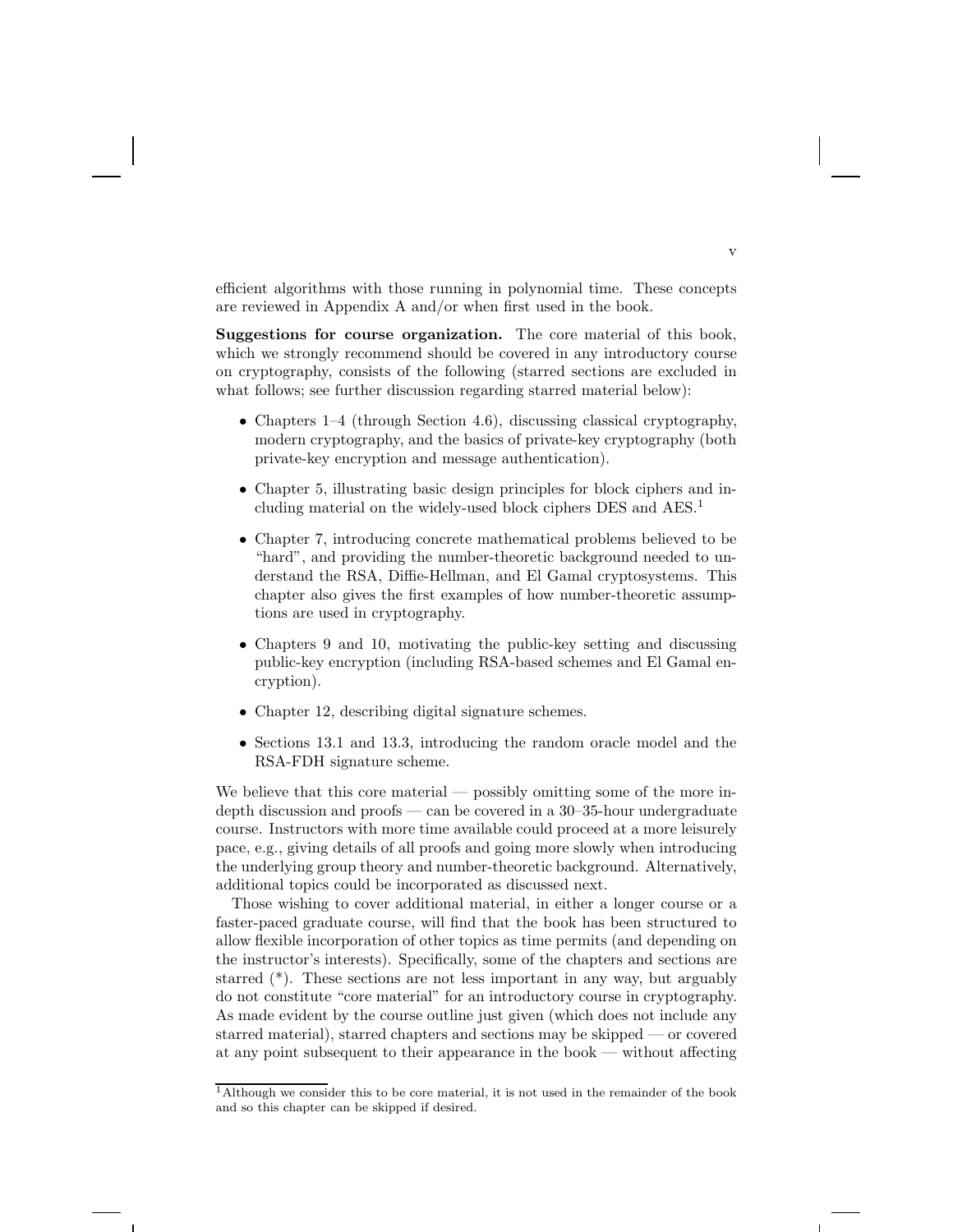efficient algorithms with those running in polynomial time. These concepts are reviewed in Appendix A and/or when first used in the book.

Suggestions for course organization. The core material of this book, which we strongly recommend should be covered in any introductory course on cryptography, consists of the following (starred sections are excluded in what follows; see further discussion regarding starred material below):

- Chapters 1–4 (through Section 4.6), discussing classical cryptography, modern cryptography, and the basics of private-key cryptography (both private-key encryption and message authentication).
- Chapter 5, illustrating basic design principles for block ciphers and including material on the widely-used block ciphers DES and AES.<sup>1</sup>
- Chapter 7, introducing concrete mathematical problems believed to be "hard", and providing the number-theoretic background needed to understand the RSA, Diffie-Hellman, and El Gamal cryptosystems. This chapter also gives the first examples of how number-theoretic assumptions are used in cryptography.
- Chapters 9 and 10, motivating the public-key setting and discussing public-key encryption (including RSA-based schemes and El Gamal encryption).
- Chapter 12, describing digital signature schemes.
- Sections 13.1 and 13.3, introducing the random oracle model and the RSA-FDH signature scheme.

We believe that this core material — possibly omitting some of the more indepth discussion and proofs — can be covered in a 30–35-hour undergraduate course. Instructors with more time available could proceed at a more leisurely pace, e.g., giving details of all proofs and going more slowly when introducing the underlying group theory and number-theoretic background. Alternatively, additional topics could be incorporated as discussed next.

Those wishing to cover additional material, in either a longer course or a faster-paced graduate course, will find that the book has been structured to allow flexible incorporation of other topics as time permits (and depending on the instructor's interests). Specifically, some of the chapters and sections are starred (\*). These sections are not less important in any way, but arguably do not constitute "core material" for an introductory course in cryptography. As made evident by the course outline just given (which does not include any starred material), starred chapters and sections may be skipped — or covered at any point subsequent to their appearance in the book — without affecting

v

<sup>1</sup>Although we consider this to be core material, it is not used in the remainder of the book and so this chapter can be skipped if desired.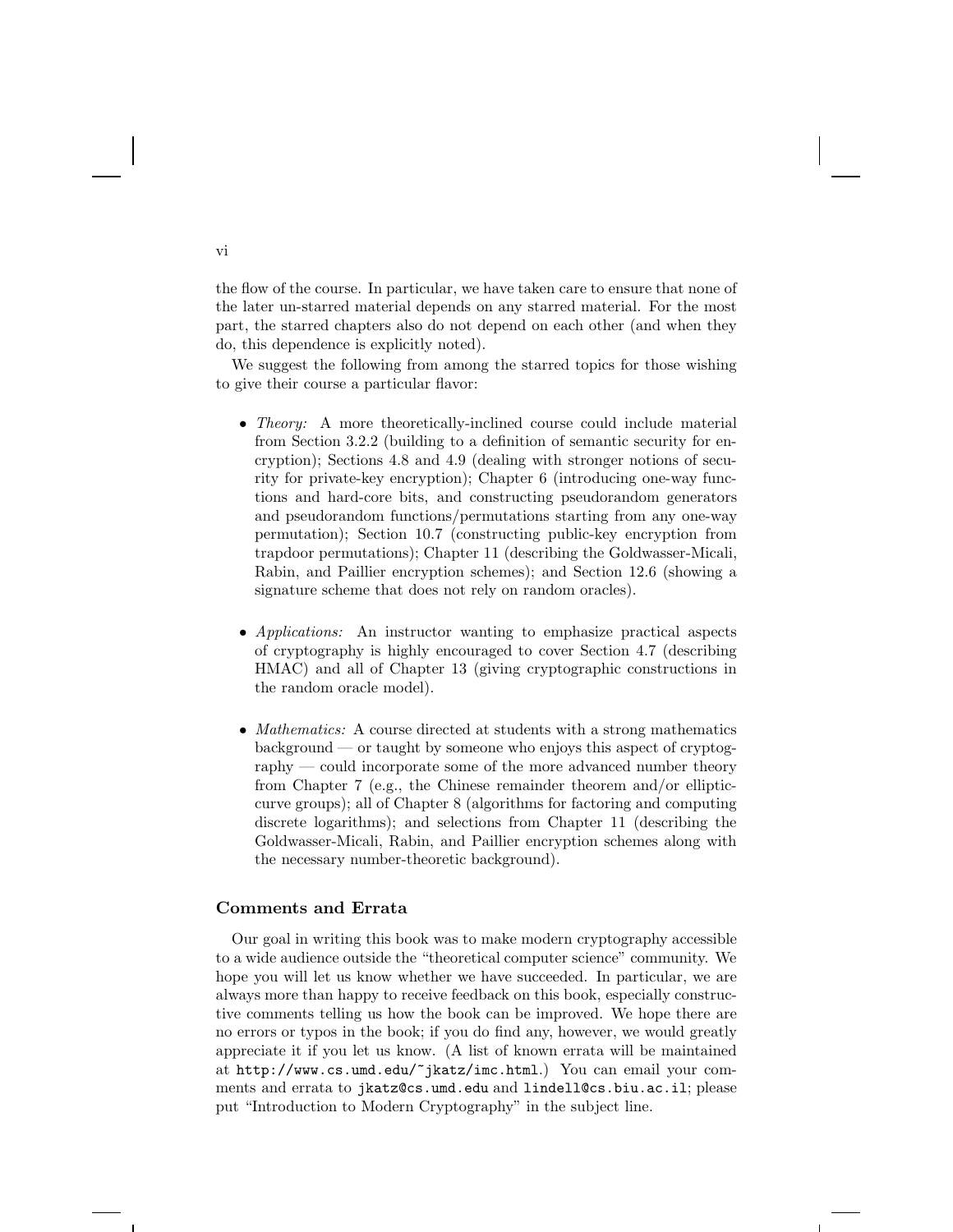the flow of the course. In particular, we have taken care to ensure that none of the later un-starred material depends on any starred material. For the most part, the starred chapters also do not depend on each other (and when they do, this dependence is explicitly noted).

We suggest the following from among the starred topics for those wishing to give their course a particular flavor:

- *Theory:* A more theoretically-inclined course could include material from Section 3.2.2 (building to a definition of semantic security for encryption); Sections 4.8 and 4.9 (dealing with stronger notions of security for private-key encryption); Chapter 6 (introducing one-way functions and hard-core bits, and constructing pseudorandom generators and pseudorandom functions/permutations starting from any one-way permutation); Section 10.7 (constructing public-key encryption from trapdoor permutations); Chapter 11 (describing the Goldwasser-Micali, Rabin, and Paillier encryption schemes); and Section 12.6 (showing a signature scheme that does not rely on random oracles).
- Applications: An instructor wanting to emphasize practical aspects of cryptography is highly encouraged to cover Section 4.7 (describing HMAC) and all of Chapter 13 (giving cryptographic constructions in the random oracle model).
- Mathematics: A course directed at students with a strong mathematics background — or taught by someone who enjoys this aspect of cryptography — could incorporate some of the more advanced number theory from Chapter 7 (e.g., the Chinese remainder theorem and/or ellipticcurve groups); all of Chapter 8 (algorithms for factoring and computing discrete logarithms); and selections from Chapter 11 (describing the Goldwasser-Micali, Rabin, and Paillier encryption schemes along with the necessary number-theoretic background).

#### Comments and Errata

Our goal in writing this book was to make modern cryptography accessible to a wide audience outside the "theoretical computer science" community. We hope you will let us know whether we have succeeded. In particular, we are always more than happy to receive feedback on this book, especially constructive comments telling us how the book can be improved. We hope there are no errors or typos in the book; if you do find any, however, we would greatly appreciate it if you let us know. (A list of known errata will be maintained at http://www.cs.umd.edu/~jkatz/imc.html.) You can email your comments and errata to jkatz@cs.umd.edu and lindell@cs.biu.ac.il; please put "Introduction to Modern Cryptography" in the subject line.

vi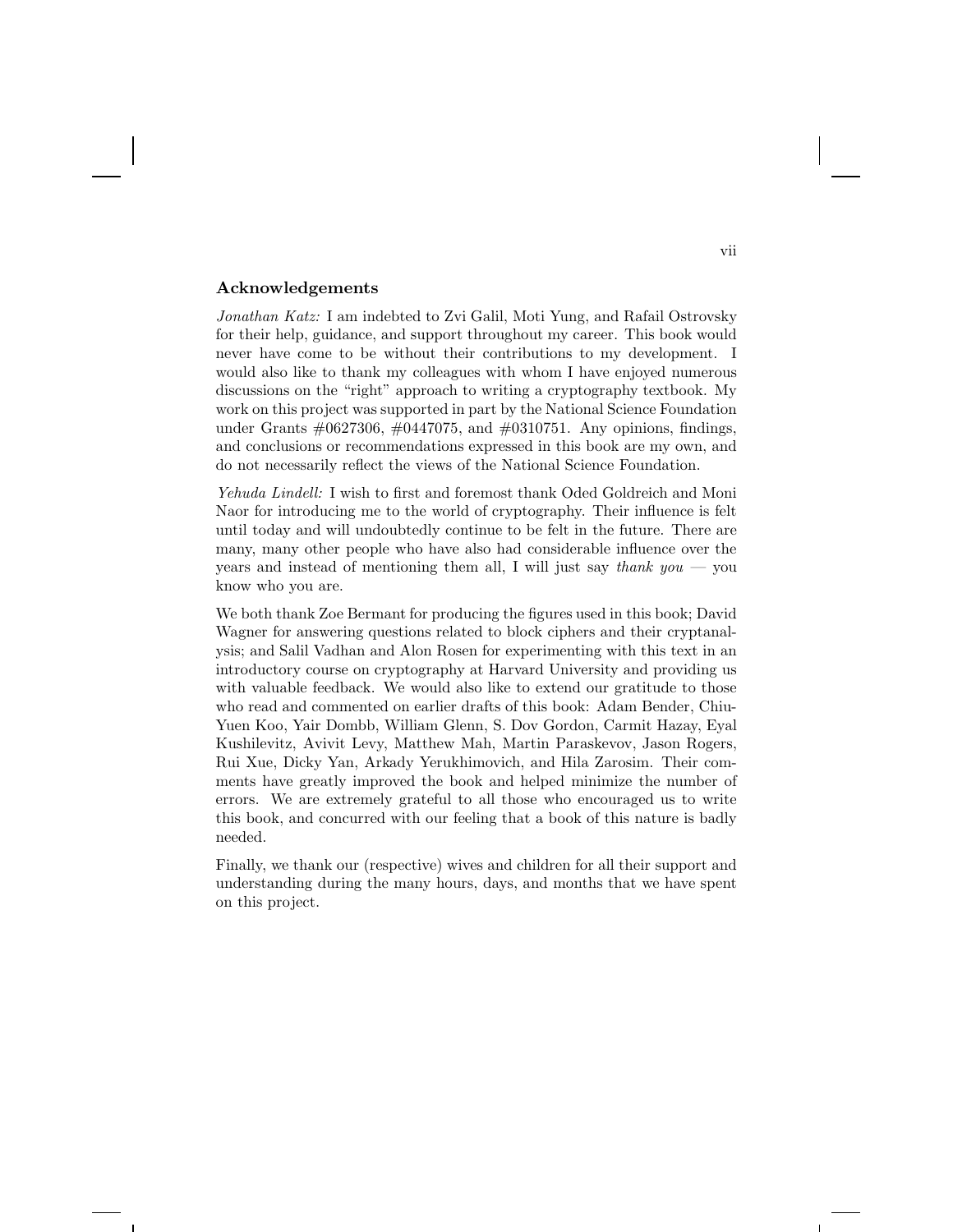#### Acknowledgements

Jonathan Katz: I am indebted to Zvi Galil, Moti Yung, and Rafail Ostrovsky for their help, guidance, and support throughout my career. This book would never have come to be without their contributions to my development. I would also like to thank my colleagues with whom I have enjoyed numerous discussions on the "right" approach to writing a cryptography textbook. My work on this project was supported in part by the National Science Foundation under Grants #0627306, #0447075, and #0310751. Any opinions, findings, and conclusions or recommendations expressed in this book are my own, and do not necessarily reflect the views of the National Science Foundation.

Yehuda Lindell: I wish to first and foremost thank Oded Goldreich and Moni Naor for introducing me to the world of cryptography. Their influence is felt until today and will undoubtedly continue to be felt in the future. There are many, many other people who have also had considerable influence over the years and instead of mentioning them all, I will just say thank you — you know who you are.

We both thank Zoe Bermant for producing the figures used in this book; David Wagner for answering questions related to block ciphers and their cryptanalysis; and Salil Vadhan and Alon Rosen for experimenting with this text in an introductory course on cryptography at Harvard University and providing us with valuable feedback. We would also like to extend our gratitude to those who read and commented on earlier drafts of this book: Adam Bender, Chiu-Yuen Koo, Yair Dombb, William Glenn, S. Dov Gordon, Carmit Hazay, Eyal Kushilevitz, Avivit Levy, Matthew Mah, Martin Paraskevov, Jason Rogers, Rui Xue, Dicky Yan, Arkady Yerukhimovich, and Hila Zarosim. Their comments have greatly improved the book and helped minimize the number of errors. We are extremely grateful to all those who encouraged us to write this book, and concurred with our feeling that a book of this nature is badly needed.

Finally, we thank our (respective) wives and children for all their support and understanding during the many hours, days, and months that we have spent on this project.

vii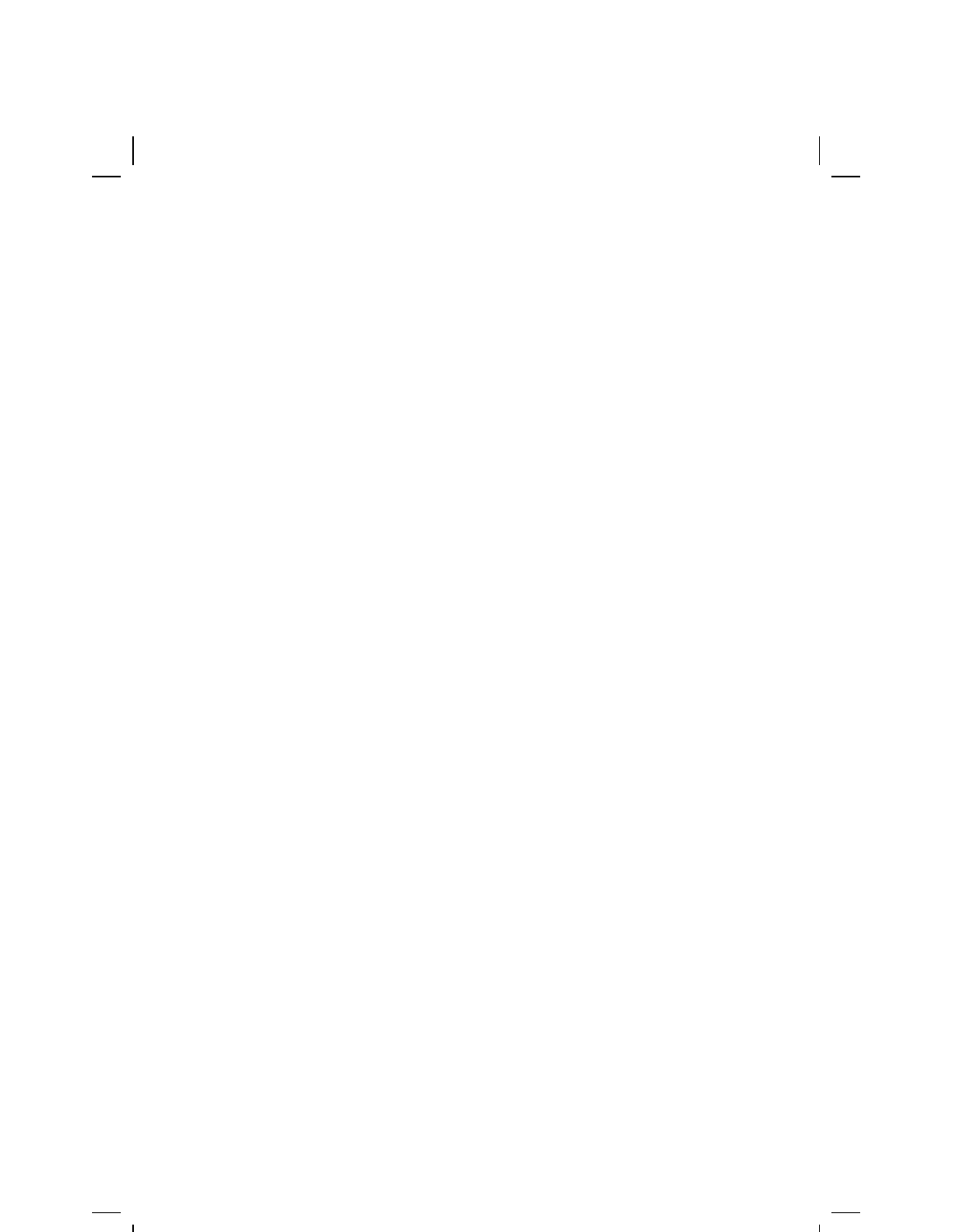$\frac{1}{2}$  $\begin{array}{c} \begin{array}{c} \end{array} \\ \begin{array}{c} \end{array} \end{array}$ 

 $\overline{1}$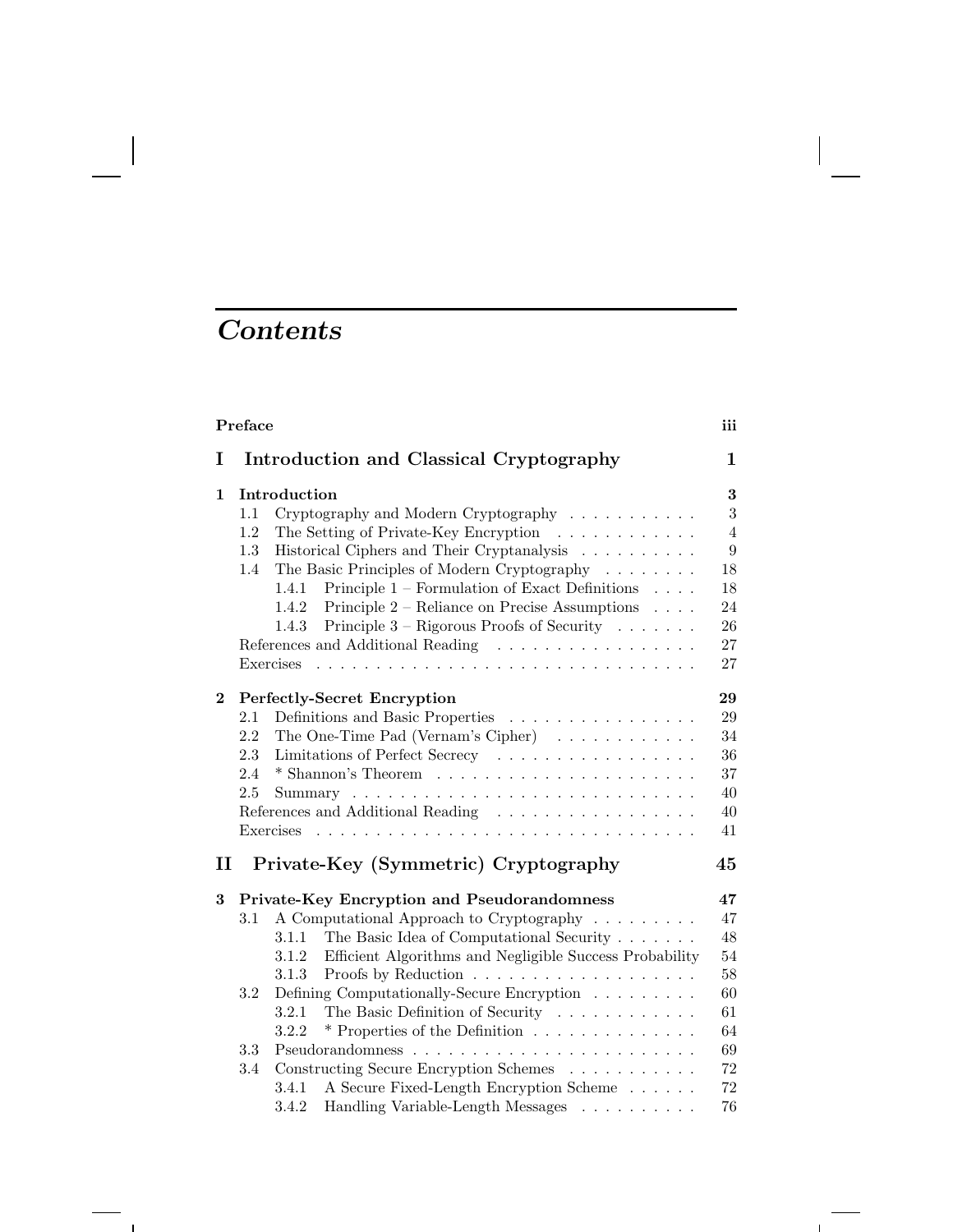# **Contents**

 $\blacksquare$ 

|              | Preface                         |                                                                                                                                                                                                                                                                                                                                                                                                                                                                                                                                                                              | iii                                                                              |
|--------------|---------------------------------|------------------------------------------------------------------------------------------------------------------------------------------------------------------------------------------------------------------------------------------------------------------------------------------------------------------------------------------------------------------------------------------------------------------------------------------------------------------------------------------------------------------------------------------------------------------------------|----------------------------------------------------------------------------------|
| I            |                                 | <b>Introduction and Classical Cryptography</b>                                                                                                                                                                                                                                                                                                                                                                                                                                                                                                                               | $\mathbf{1}$                                                                     |
| 1            | 1.1<br>1.2<br>1.3<br>1.4        | Introduction<br>Cryptography and Modern Cryptography<br>The Setting of Private-Key Encryption<br>Historical Ciphers and Their Cryptanalysis<br>The Basic Principles of Modern Cryptography<br>Principle $1$ – Formulation of Exact Definitions $\ldots$ .<br>1.4.1<br>Principle 2 – Reliance on Precise Assumptions<br>1.4.2<br>Principle $3$ – Rigorous Proofs of Security<br>1.4.3<br>References and Additional Reading<br>Exercises                                                                                                                                       | 3<br>3<br>$\overline{4}$<br>$\boldsymbol{9}$<br>18<br>18<br>24<br>26<br>27<br>27 |
| $\bf{2}$     | 2.1<br>2.2<br>2.3<br>2.4<br>2.5 | Perfectly-Secret Encryption<br>Definitions and Basic Properties<br>The One-Time Pad (Vernam's Cipher) $\ldots \ldots \ldots \ldots$<br>Limitations of Perfect Secrecy<br>References and Additional Reading<br>Exercises                                                                                                                                                                                                                                                                                                                                                      | 29<br>29<br>34<br>36<br>37<br>40<br>40<br>41                                     |
| $\mathbf{I}$ |                                 | Private-Key (Symmetric) Cryptography                                                                                                                                                                                                                                                                                                                                                                                                                                                                                                                                         | 45                                                                               |
| 3            | 3.1<br>3.2<br>3.3<br>3.4        | Private-Key Encryption and Pseudorandomness<br>A Computational Approach to Cryptography<br>3.1.1<br>The Basic Idea of Computational Security<br>Efficient Algorithms and Negligible Success Probability<br>3.1.2<br>3.1.3<br>Defining Computationally-Secure Encryption<br>3.2.1<br>The Basic Definition of Security<br>$*$ Properties of the Definition $\ldots \ldots \ldots \ldots$<br>3.2.2<br>Constructing Secure Encryption Schemes<br>A Secure Fixed-Length Encryption Scheme<br>3.4.1<br>Handling Variable-Length Messages $\hfill\ldots\ldots\ldots\ldots$<br>3.4.2 | 47<br>47<br>48<br>$54\,$<br>58<br>60<br>61<br>64<br>69<br>$72\,$<br>72<br>76     |

 $\mathbf{1}$  and  $\mathbf{1}$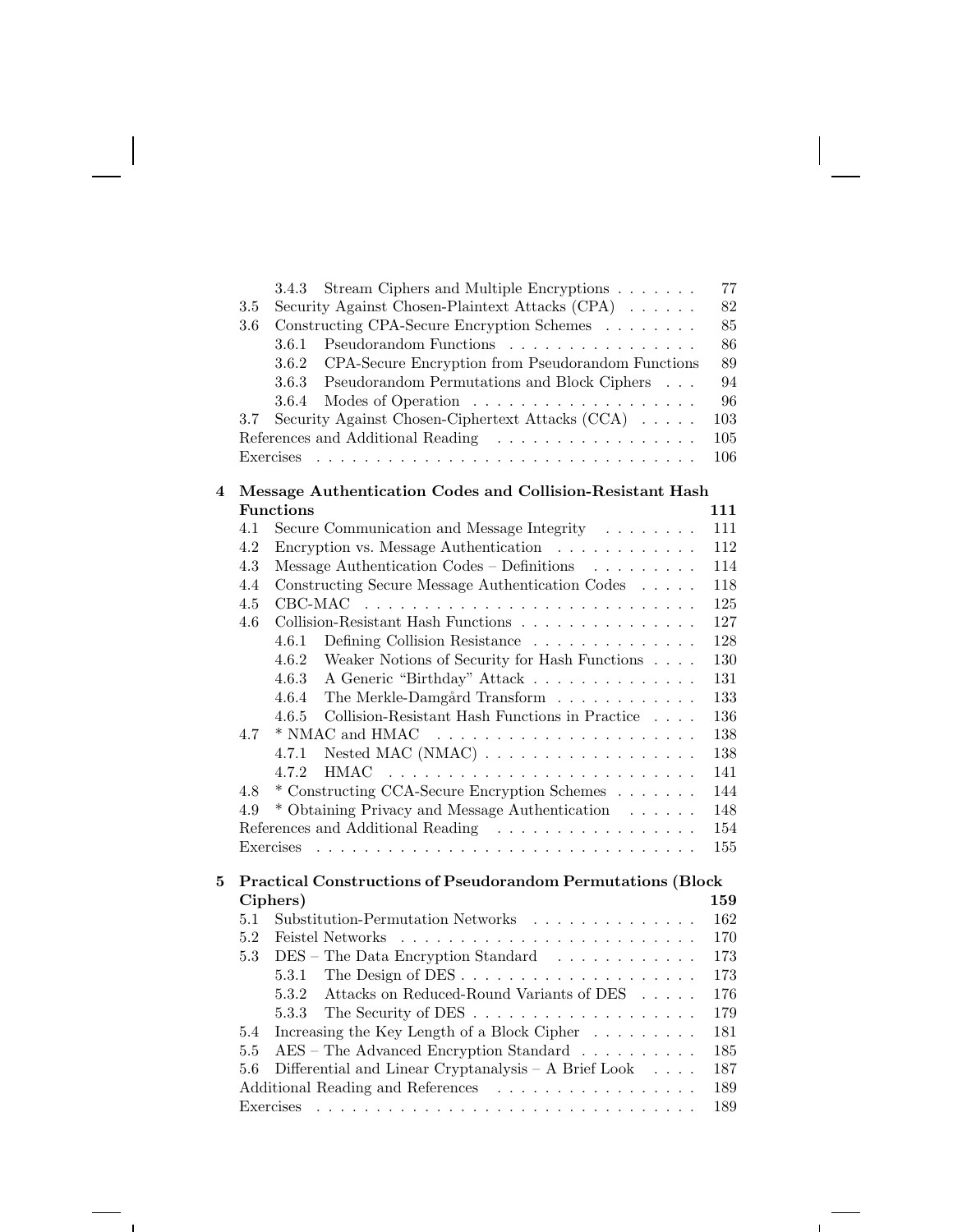|   |         | Stream Ciphers and Multiple Encryptions<br>3.4.3                                           | 77  |  |  |  |  |
|---|---------|--------------------------------------------------------------------------------------------|-----|--|--|--|--|
|   | 3.5     | Security Against Chosen-Plaintext Attacks (CPA)                                            | 82  |  |  |  |  |
|   | 3.6     | Constructing CPA-Secure Encryption Schemes                                                 | 85  |  |  |  |  |
|   |         | Pseudorandom Functions<br>3.6.1                                                            | 86  |  |  |  |  |
|   |         | CPA-Secure Encryption from Pseudorandom Functions<br>3.6.2                                 | 89  |  |  |  |  |
|   |         | Pseudorandom Permutations and Block Ciphers<br>3.6.3                                       | 94  |  |  |  |  |
|   |         | 3.6.4                                                                                      | 96  |  |  |  |  |
|   | 3.7     | Security Against Chosen-Ciphertext Attacks (CCA)                                           | 103 |  |  |  |  |
|   |         | References and Additional Reading                                                          | 105 |  |  |  |  |
|   |         |                                                                                            | 106 |  |  |  |  |
|   |         |                                                                                            |     |  |  |  |  |
| 4 |         | Message Authentication Codes and Collision-Resistant Hash                                  |     |  |  |  |  |
|   |         | <b>Functions</b>                                                                           | 111 |  |  |  |  |
|   | 4.1     | Secure Communication and Message Integrity                                                 | 111 |  |  |  |  |
|   | 4.2     | Encryption vs. Message Authentication                                                      | 112 |  |  |  |  |
|   | 4.3     | Message Authentication Codes – Definitions $\ldots \ldots \ldots$                          | 114 |  |  |  |  |
|   | 4.4     | Constructing Secure Message Authentication Codes                                           | 118 |  |  |  |  |
|   | 4.5     | CBC-MAC                                                                                    | 125 |  |  |  |  |
|   | 4.6     | Collision-Resistant Hash Functions                                                         | 127 |  |  |  |  |
|   |         | Defining Collision Resistance<br>4.6.1                                                     | 128 |  |  |  |  |
|   |         | 4.6.2<br>Weaker Notions of Security for Hash Functions                                     | 130 |  |  |  |  |
|   |         | A Generic "Birthday" Attack<br>4.6.3                                                       | 131 |  |  |  |  |
|   |         | The Merkle-Damgård Transform<br>4.6.4                                                      | 133 |  |  |  |  |
|   |         | Collision-Resistant Hash Functions in Practice $\phantom{1} \phantom{1} \ldots$ .<br>4.6.5 | 136 |  |  |  |  |
|   | 4.7     | * NMAC and HMAC                                                                            | 138 |  |  |  |  |
|   |         | 4.7.1                                                                                      | 138 |  |  |  |  |
|   |         | <b>HMAC</b><br>4.7.2                                                                       | 141 |  |  |  |  |
|   | 4.8     | * Constructing CCA-Secure Encryption Schemes                                               | 144 |  |  |  |  |
|   | 4.9     | * Obtaining Privacy and Message Authentication                                             | 148 |  |  |  |  |
|   |         | References and Additional Reading                                                          | 154 |  |  |  |  |
|   |         | Exercises                                                                                  | 155 |  |  |  |  |
| 5 |         | <b>Practical Constructions of Pseudorandom Permutations (Block</b>                         |     |  |  |  |  |
|   |         | Ciphers)                                                                                   | 159 |  |  |  |  |
|   | 5.1     | Substitution-Permutation Networks                                                          | 162 |  |  |  |  |
|   | 5.2     | Feistel Networks                                                                           | 170 |  |  |  |  |
|   | $5.3\,$ | $DES$ – The Data Encryption Standard $\ldots \ldots \ldots \ldots$                         | 173 |  |  |  |  |
|   |         | The Design of DES<br>5.3.1                                                                 | 173 |  |  |  |  |
|   |         | 5.3.2<br>Attacks on Reduced-Round Variants of DES                                          | 176 |  |  |  |  |
|   |         | 5.3.3                                                                                      | 179 |  |  |  |  |
|   | 5.4     | Increasing the Key Length of a Block Cipher $\dots \dots$                                  | 181 |  |  |  |  |
|   | $5.5\,$ | AES - The Advanced Encryption Standard                                                     | 185 |  |  |  |  |
|   | 5.6     | Differential and Linear Cryptanalysis $-$ A Brief Look $\ldots$ .                          | 187 |  |  |  |  |
|   |         | Additional Reading and References                                                          | 189 |  |  |  |  |
|   |         |                                                                                            | 189 |  |  |  |  |
|   |         |                                                                                            |     |  |  |  |  |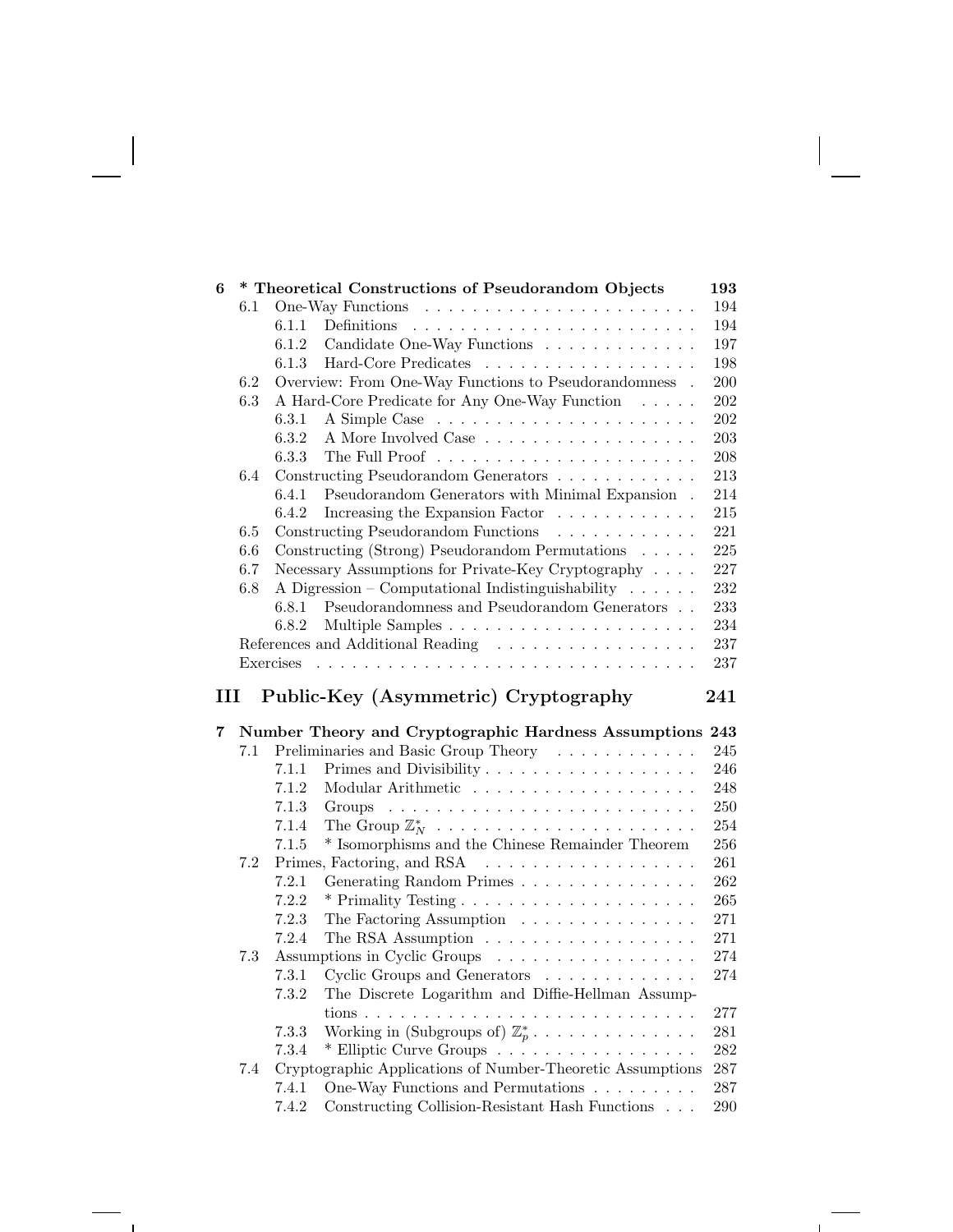| 6 |     |           | * Theoretical Constructions of Pseudorandom Objects                                                                                                                                                                                                                                                                                                                                                                                                         | 193       |
|---|-----|-----------|-------------------------------------------------------------------------------------------------------------------------------------------------------------------------------------------------------------------------------------------------------------------------------------------------------------------------------------------------------------------------------------------------------------------------------------------------------------|-----------|
|   | 6.1 |           |                                                                                                                                                                                                                                                                                                                                                                                                                                                             | 194       |
|   |     | 6.1.1     |                                                                                                                                                                                                                                                                                                                                                                                                                                                             | 194       |
|   |     | 6.1.2     | Candidate One-Way Functions                                                                                                                                                                                                                                                                                                                                                                                                                                 | 197       |
|   |     | 6.1.3     |                                                                                                                                                                                                                                                                                                                                                                                                                                                             | 198       |
|   | 6.2 |           | Overview: From One-Way Functions to Pseudorandomness.                                                                                                                                                                                                                                                                                                                                                                                                       | 200       |
|   | 6.3 |           | A Hard-Core Predicate for Any One-Way Function                                                                                                                                                                                                                                                                                                                                                                                                              | 202       |
|   |     | 6.3.1     |                                                                                                                                                                                                                                                                                                                                                                                                                                                             | 202       |
|   |     | 6.3.2     | A More Involved Case                                                                                                                                                                                                                                                                                                                                                                                                                                        | 203       |
|   |     | 6.3.3     |                                                                                                                                                                                                                                                                                                                                                                                                                                                             | 208       |
|   | 6.4 |           | Constructing Pseudorandom Generators                                                                                                                                                                                                                                                                                                                                                                                                                        | $213\,$   |
|   |     | 6.4.1     | Pseudorandom Generators with Minimal Expansion.                                                                                                                                                                                                                                                                                                                                                                                                             | 214       |
|   |     | 6.4.2     | Increasing the Expansion Factor                                                                                                                                                                                                                                                                                                                                                                                                                             | 215       |
|   | 6.5 |           | Constructing Pseudorandom Functions                                                                                                                                                                                                                                                                                                                                                                                                                         | 221       |
|   | 6.6 |           | Constructing (Strong) Pseudorandom Permutations                                                                                                                                                                                                                                                                                                                                                                                                             | $225\,$   |
|   | 6.7 |           | Necessary Assumptions for Private-Key Cryptography                                                                                                                                                                                                                                                                                                                                                                                                          | 227       |
|   | 6.8 |           | A Digression – Computational Indistinguishability $\ldots \ldots$                                                                                                                                                                                                                                                                                                                                                                                           | $\bf 232$ |
|   |     | 6.8.1     | Pseudorandomness and Pseudorandom Generators $\,$ . $\,$ .                                                                                                                                                                                                                                                                                                                                                                                                  | 233       |
|   |     | 6.8.2     |                                                                                                                                                                                                                                                                                                                                                                                                                                                             | 234       |
|   |     |           | References and Additional Reading                                                                                                                                                                                                                                                                                                                                                                                                                           | 237       |
|   |     | Exercises |                                                                                                                                                                                                                                                                                                                                                                                                                                                             | 237       |
|   |     |           |                                                                                                                                                                                                                                                                                                                                                                                                                                                             |           |
|   |     |           |                                                                                                                                                                                                                                                                                                                                                                                                                                                             |           |
| ш |     |           | Public-Key (Asymmetric) Cryptography                                                                                                                                                                                                                                                                                                                                                                                                                        | 241       |
| 7 |     |           |                                                                                                                                                                                                                                                                                                                                                                                                                                                             |           |
|   | 7.1 |           | Number Theory and Cryptographic Hardness Assumptions 243                                                                                                                                                                                                                                                                                                                                                                                                    | 245       |
|   |     | 7.1.1     | Preliminaries and Basic Group Theory                                                                                                                                                                                                                                                                                                                                                                                                                        | 246       |
|   |     | 7.1.2     |                                                                                                                                                                                                                                                                                                                                                                                                                                                             | 248       |
|   |     | 7.1.3     | Groups                                                                                                                                                                                                                                                                                                                                                                                                                                                      | 250       |
|   |     | 7.1.4     | $\mathcal{L}(\mathcal{L}(\mathcal{L},\mathcal{L},\mathcal{L},\mathcal{L},\mathcal{L},\mathcal{L},\mathcal{L},\mathcal{L},\mathcal{L},\mathcal{L},\mathcal{L},\mathcal{L},\mathcal{L},\mathcal{L},\mathcal{L},\mathcal{L},\mathcal{L},\mathcal{L},\mathcal{L},\mathcal{L},\mathcal{L},\mathcal{L},\mathcal{L},\mathcal{L},\mathcal{L},\mathcal{L},\mathcal{L},\mathcal{L},\mathcal{L},\mathcal{L},\mathcal{L},\mathcal{L},\mathcal{L},\mathcal{L},\mathcal{$ | 254       |
|   |     | 7.1.5     | The Group $\mathbb{Z}_N^*$<br>* Isomorphisms and the Chinese Remainder Theorem                                                                                                                                                                                                                                                                                                                                                                              | 256       |
|   | 7.2 |           |                                                                                                                                                                                                                                                                                                                                                                                                                                                             | 261       |
|   |     | 7.2.1     | Generating Random Primes                                                                                                                                                                                                                                                                                                                                                                                                                                    | 262       |
|   |     | 7.2.2     |                                                                                                                                                                                                                                                                                                                                                                                                                                                             | 265       |
|   |     | 7.2.3     | The Factoring Assumption                                                                                                                                                                                                                                                                                                                                                                                                                                    | 271       |
|   |     | 7.2.4     | The RSA Assumption                                                                                                                                                                                                                                                                                                                                                                                                                                          | 271       |
|   | 7.3 |           | Assumptions in Cyclic Groups                                                                                                                                                                                                                                                                                                                                                                                                                                | 274       |
|   |     |           | 7.3.1 Cyclic Groups and Generators                                                                                                                                                                                                                                                                                                                                                                                                                          | 274       |
|   |     | 7.3.2     | The Discrete Logarithm and Diffie-Hellman Assump-                                                                                                                                                                                                                                                                                                                                                                                                           |           |
|   |     |           |                                                                                                                                                                                                                                                                                                                                                                                                                                                             | 277       |
|   |     | 7.3.3     | Working in (Subgroups of) $\mathbb{Z}_p^* \ldots \ldots \ldots \ldots \ldots$                                                                                                                                                                                                                                                                                                                                                                               | 281       |
|   |     | 7.3.4     | * Elliptic Curve Groups                                                                                                                                                                                                                                                                                                                                                                                                                                     | $\bf 282$ |
|   | 7.4 |           | Cryptographic Applications of Number-Theoretic Assumptions                                                                                                                                                                                                                                                                                                                                                                                                  | 287       |
|   |     | 7.4.1     | One-Way Functions and Permutations                                                                                                                                                                                                                                                                                                                                                                                                                          | $287\,$   |

 $\mathbf{I}$ 

 $\mathbf{I}$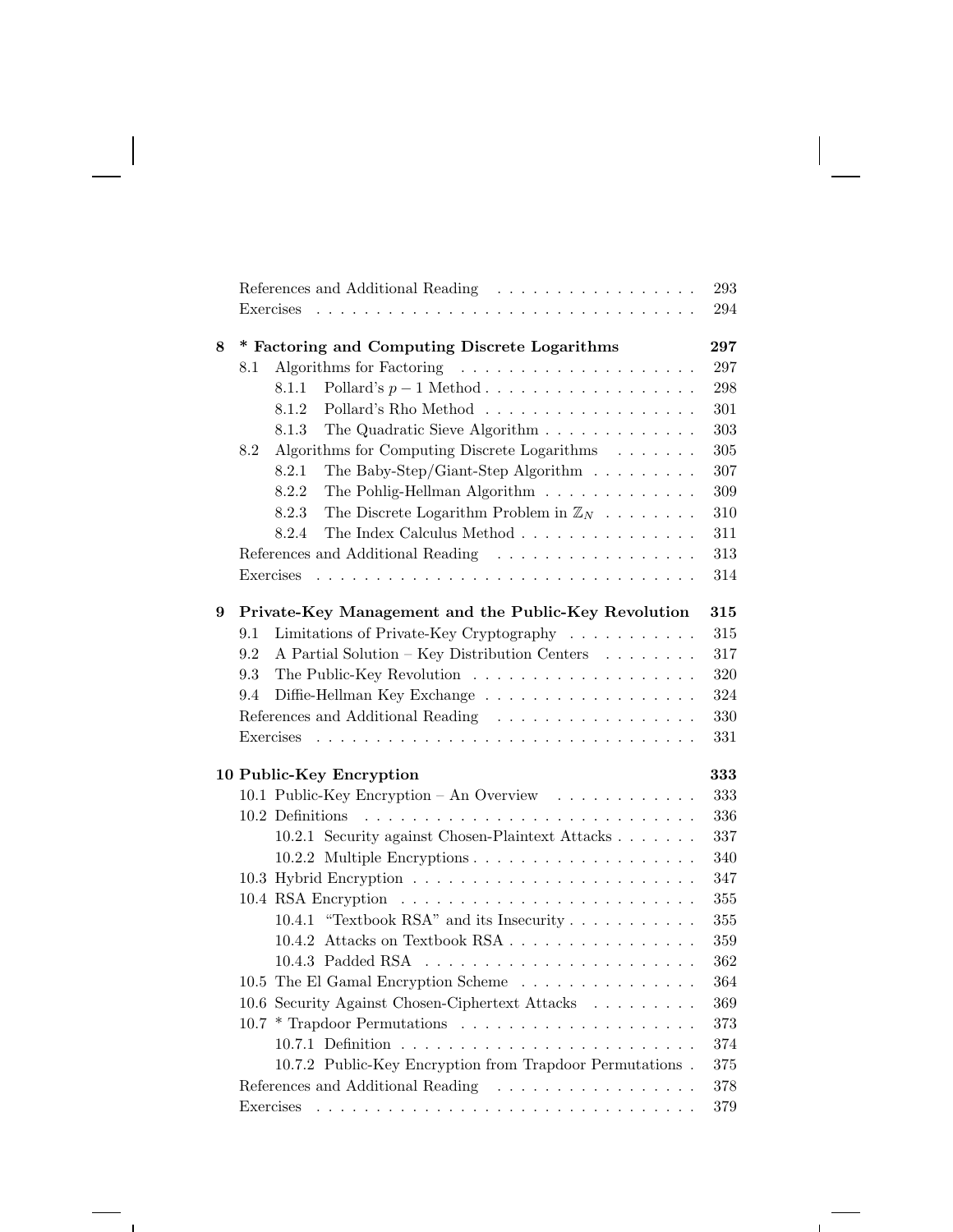|   |      | References and Additional Reading<br>Exercises                                         |
|---|------|----------------------------------------------------------------------------------------|
| 8 |      | * Factoring and Computing Discrete Logarithms                                          |
|   | 8.1  |                                                                                        |
|   |      | Pollard's $p-1$ Method<br>8.1.1                                                        |
|   |      | 8.1.2                                                                                  |
|   |      | The Quadratic Sieve Algorithm<br>8.1.3                                                 |
|   | 8.2  | Algorithms for Computing Discrete Logarithms                                           |
|   |      | 8.2.1<br>The Baby-Step/Giant-Step Algorithm $\ldots \ldots \ldots$                     |
|   |      | The Pohlig-Hellman Algorithm $\ldots \ldots \ldots \ldots$<br>8.2.2                    |
|   |      | 8.2.3<br>The Discrete Logarithm Problem in $\mathbb{Z}_N \dots \dots$                  |
|   |      | 8.2.4                                                                                  |
|   |      | References and Additional Reading                                                      |
|   |      | Exercises                                                                              |
|   |      |                                                                                        |
| 9 |      | Private-Key Management and the Public-Key Revolution                                   |
|   | 9.1  | Limitations of Private-Key Cryptography                                                |
|   | 9.2  | A Partial Solution – Key Distribution Centers                                          |
|   | 9.3  |                                                                                        |
|   | 9.4  | Diffie-Hellman Key Exchange                                                            |
|   |      | References and Additional Reading                                                      |
|   |      | Exercises                                                                              |
|   |      | 10 Public-Key Encryption                                                               |
|   |      | 10.1 Public-Key Encryption - An Overview                                               |
|   |      | 10.2 Definitions                                                                       |
|   |      | 10.2.1 Security against Chosen-Plaintext Attacks                                       |
|   |      |                                                                                        |
|   |      |                                                                                        |
|   |      |                                                                                        |
|   |      | 10.4.1 "Textbook RSA" and its Insecurity                                               |
|   |      | 10.4.2 Attacks on Textbook RSA                                                         |
|   |      |                                                                                        |
|   | 10.5 | The El Gamal Encryption Scheme $\phantom{.} \ldots \ldots \ldots \ldots \ldots \ldots$ |
|   |      | 10.6 Security Against Chosen-Ciphertext Attacks                                        |
|   |      |                                                                                        |
|   |      |                                                                                        |
|   |      | 10.7.2 Public-Key Encryption from Trapdoor Permutations.                               |
|   |      | References and Additional Reading                                                      |
|   |      | Exercises                                                                              |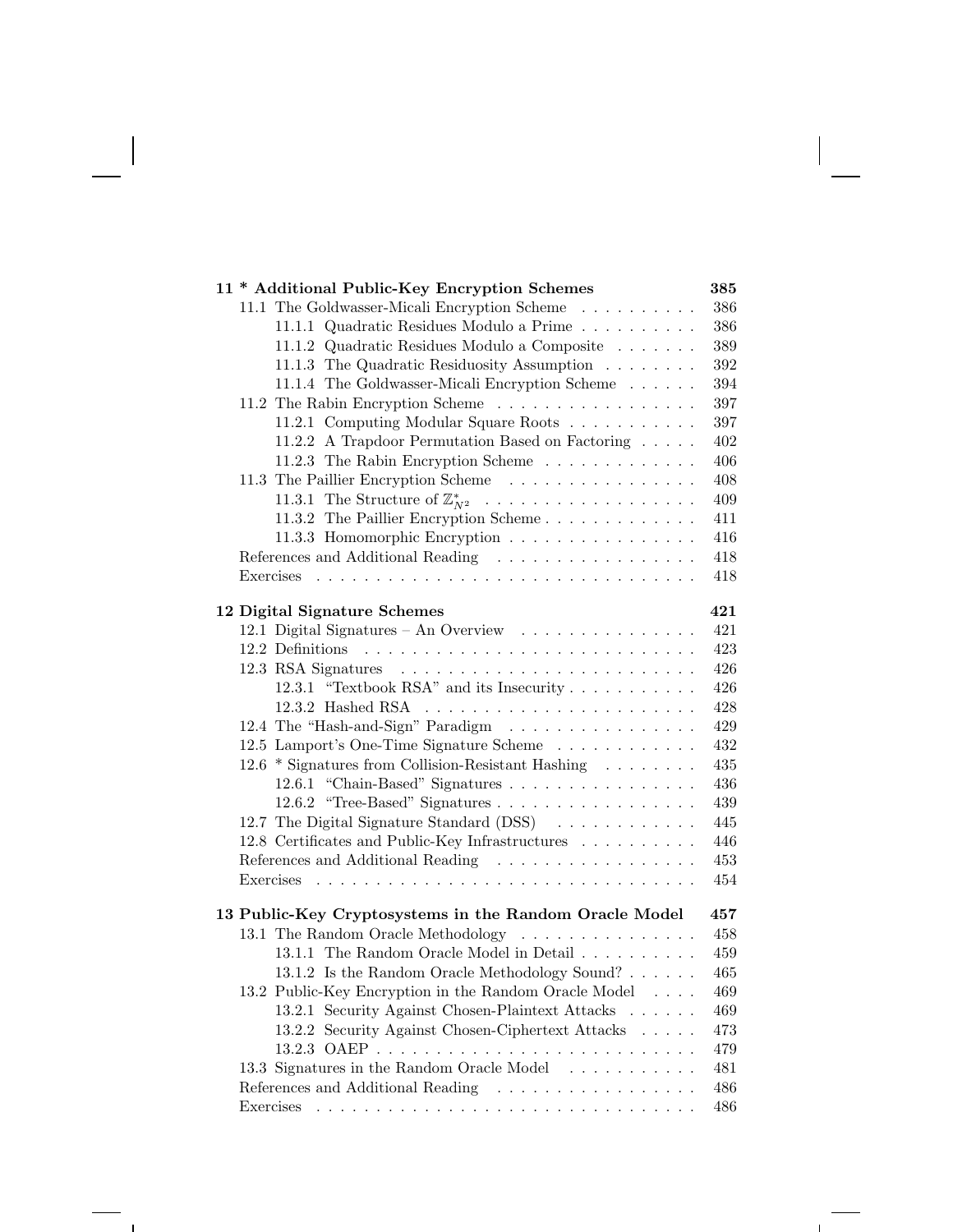| 11 * Additional Public-Key Encryption Schemes                                               | 385     |
|---------------------------------------------------------------------------------------------|---------|
| 11.1 The Goldwasser-Micali Encryption Scheme                                                | 386     |
| 11.1.1 Quadratic Residues Modulo a Prime                                                    | 386     |
| 11.1.2 Quadratic Residues Modulo a Composite                                                | 389     |
| 11.1.3 The Quadratic Residuosity Assumption                                                 | 392     |
| 11.1.4 The Goldwasser-Micali Encryption Scheme                                              | 394     |
| 11.2 The Rabin Encryption Scheme                                                            | $397\,$ |
| 11.2.1 Computing Modular Square Roots                                                       | $397\,$ |
| 11.2.2 A Trapdoor Permutation Based on Factoring                                            | 402     |
| 11.2.3 The Rabin Encryption Scheme                                                          | 406     |
| 11.3 The Paillier Encryption Scheme                                                         | 408     |
| 11.3.1 The Structure of $\mathbb{Z}_{N^2}^*$                                                | 409     |
| 11.3.2 The Paillier Encryption Scheme                                                       | 411     |
| 11.3.3 Homomorphic Encryption                                                               | 416     |
| References and Additional Reading                                                           | 418     |
| Exercises                                                                                   | 418     |
| 12 Digital Signature Schemes                                                                | 421     |
| 12.1 Digital Signatures - An Overview                                                       | 421     |
|                                                                                             | 423     |
|                                                                                             | 426     |
|                                                                                             | 426     |
|                                                                                             | 428     |
| 12.4 The "Hash-and-Sign" Paradigm                                                           | 429     |
| 12.5 Lamport's One-Time Signature Scheme                                                    | 432     |
| 12.6 * Signatures from Collision-Resistant Hashing                                          | 435     |
| 12.6.1 "Chain-Based" Signatures                                                             | 436     |
|                                                                                             | 439     |
| 12.7 The Digital Signature Standard (DSS)                                                   | 445     |
| 12.8 Certificates and Public-Key Infrastructures                                            | 446     |
| References and Additional Reading                                                           | 453     |
| Exercises                                                                                   | 454     |
| 13 Public-Key Cryptosystems in the Random Oracle Model                                      | 457     |
| 13.1 The Random Oracle Methodology                                                          | 458     |
| 13.1.1 The Random Oracle Model in Detail                                                    | 459     |
| 13.1.2 Is the Random Oracle Methodology Sound?                                              | 465     |
| 13.2 Public-Key Encryption in the Random Oracle Model                                       | 469     |
| 13.2.1 Security Against Chosen-Plaintext Attacks<br>$\mathcal{A}$ , and $\mathcal{A}$ , and | 469     |
| Security Against Chosen-Ciphertext Attacks<br>13.2.2                                        | 473     |
|                                                                                             | 479     |
| 13.3 Signatures in the Random Oracle Model                                                  | 481     |
| References and Additional Reading                                                           | 486     |
| Exercises                                                                                   | 486     |
|                                                                                             |         |

 $\begin{array}{c} \begin{array}{c} \end{array} \\ \begin{array}{c} \end{array} \end{array}$ 

 $\overline{1}$ 

 $\frac{1}{2}$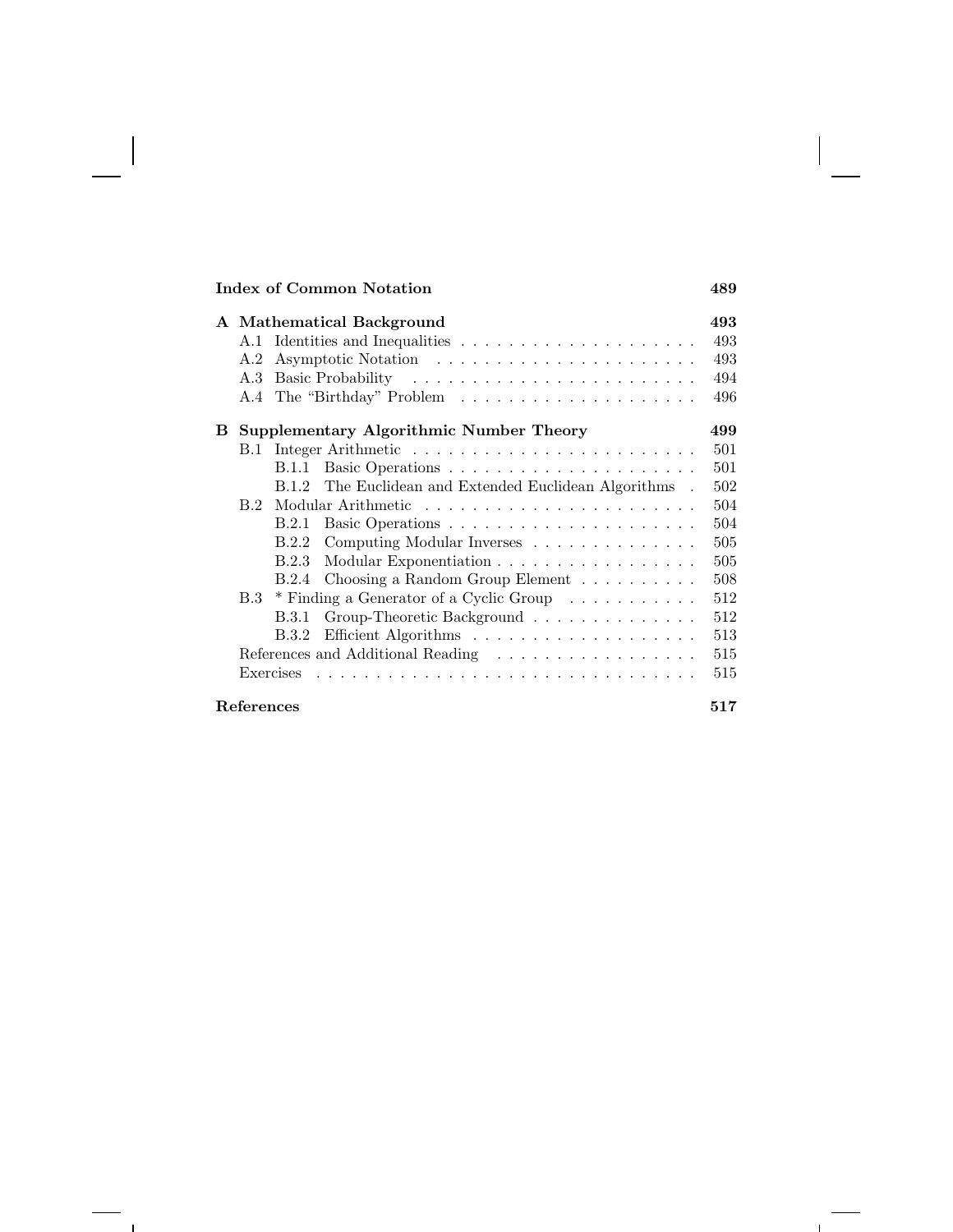### Index of Common Notation 489

 $\mathbf{L}$ 

|    |            | A Mathematical Background                                        | 493 |
|----|------------|------------------------------------------------------------------|-----|
|    | A.1        |                                                                  | 493 |
|    | A.2        |                                                                  | 493 |
|    | A.3        |                                                                  | 494 |
|    | A.4        |                                                                  | 496 |
| B. |            | <b>Supplementary Algorithmic Number Theory</b>                   | 499 |
|    | B.1        |                                                                  | 501 |
|    |            | B.1.1                                                            | 501 |
|    |            | The Euclidean and Extended Euclidean Algorithms .<br>B 1 2       | 502 |
|    | B.2        |                                                                  | 504 |
|    |            | B.2.1                                                            | 504 |
|    |            | B.2.2<br>Computing Modular Inverses                              | 505 |
|    |            | Modular Exponentiation<br>B.2.3                                  | 505 |
|    |            | Choosing a Random Group Element $\ldots \ldots \ldots$<br>B.2.4  | 508 |
|    | B.3        | $*$ Finding a Generator of a Cyclic Group $\ldots \ldots \ldots$ | 512 |
|    |            | Group-Theoretic Background<br>B.3.1                              | 512 |
|    |            | B.3.2                                                            | 513 |
|    |            |                                                                  | 515 |
|    |            | Exercises                                                        | 515 |
|    | References |                                                                  | 517 |

 $\mathbf{1}$  and  $\mathbf{1}$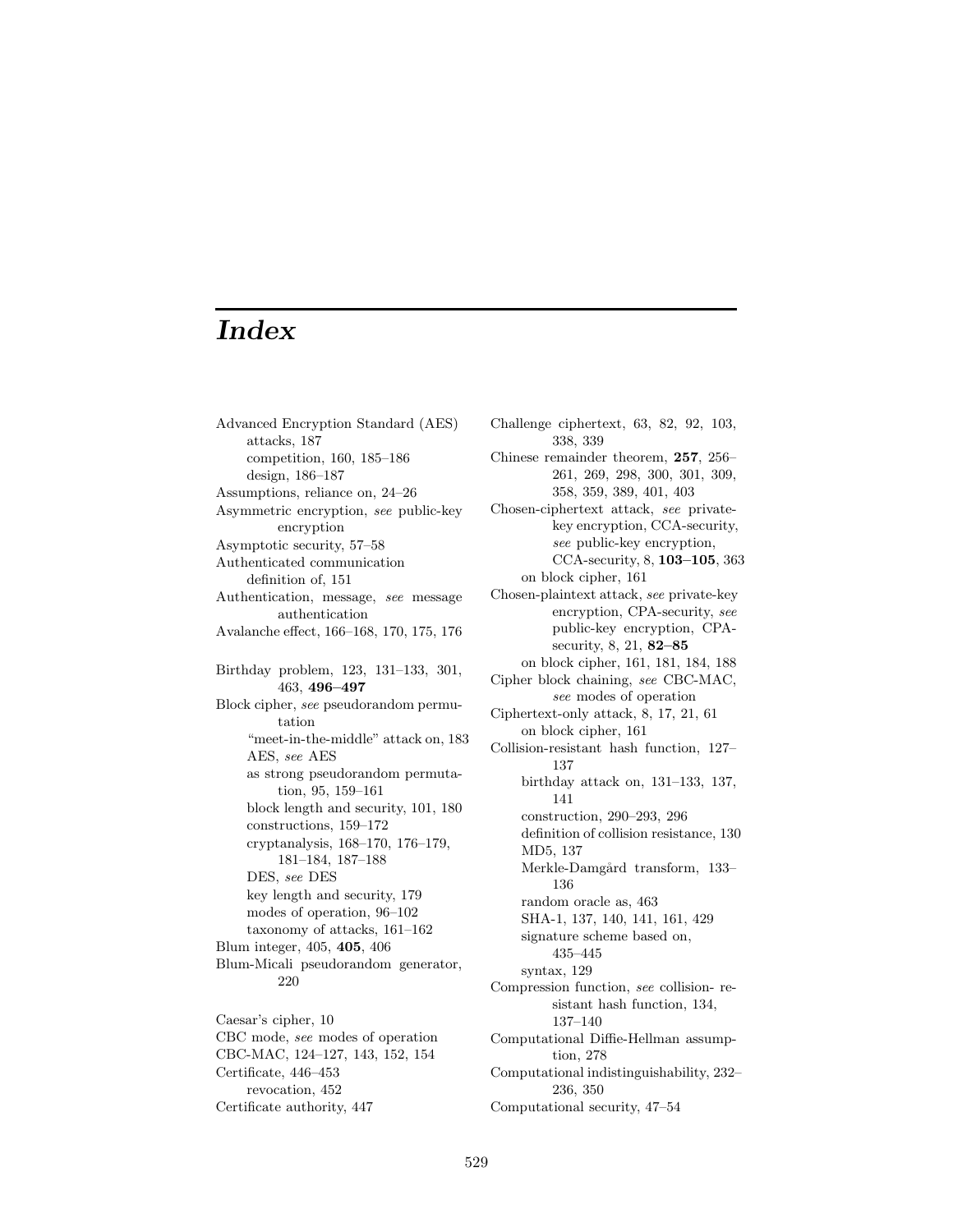## Index

Advanced Encryption Standard (AES) attacks, 187 competition, 160, 185–186 design, 186–187 Assumptions, reliance on, 24–26 Asymmetric encryption, see public-key encryption Asymptotic security, 57–58 Authenticated communication definition of, 151 Authentication, message, see message authentication Avalanche effect, 166–168, 170, 175, 176 Birthday problem, 123, 131–133, 301, 463, 496–497 Block cipher, see pseudorandom permutation "meet-in-the-middle" attack on, 183 AES, see AES as strong pseudorandom permutation, 95, 159–161 block length and security, 101, 180 constructions, 159–172 cryptanalysis, 168–170, 176–179, 181–184, 187–188 DES, see DES key length and security, 179 modes of operation, 96–102 taxonomy of attacks, 161–162 Blum integer, 405, 405, 406 Blum-Micali pseudorandom generator, 220 Caesar's cipher, 10 CBC mode, see modes of operation CBC-MAC, 124–127, 143, 152, 154

Certificate, 446–453 revocation, 452 Certificate authority, 447 Challenge ciphertext, 63, 82, 92, 103, 338, 339 Chinese remainder theorem, 257, 256– 261, 269, 298, 300, 301, 309, 358, 359, 389, 401, 403 Chosen-ciphertext attack, see privatekey encryption, CCA-security, see public-key encryption, CCA-security, 8, 103–105, 363 on block cipher, 161 Chosen-plaintext attack, see private-key encryption, CPA-security, see public-key encryption, CPAsecurity, 8, 21, 82–85 on block cipher, 161, 181, 184, 188 Cipher block chaining, see CBC-MAC, see modes of operation Ciphertext-only attack, 8, 17, 21, 61 on block cipher, 161 Collision-resistant hash function, 127– 137 birthday attack on, 131–133, 137, 141 construction, 290–293, 296 definition of collision resistance, 130 MD5, 137 Merkle-Damgård transform, 133– 136 random oracle as, 463 SHA-1, 137, 140, 141, 161, 429 signature scheme based on, 435–445 syntax, 129 Compression function, see collision- resistant hash function, 134, 137–140 Computational Diffie-Hellman assumption, 278 Computational indistinguishability, 232– 236, 350 Computational security, 47–54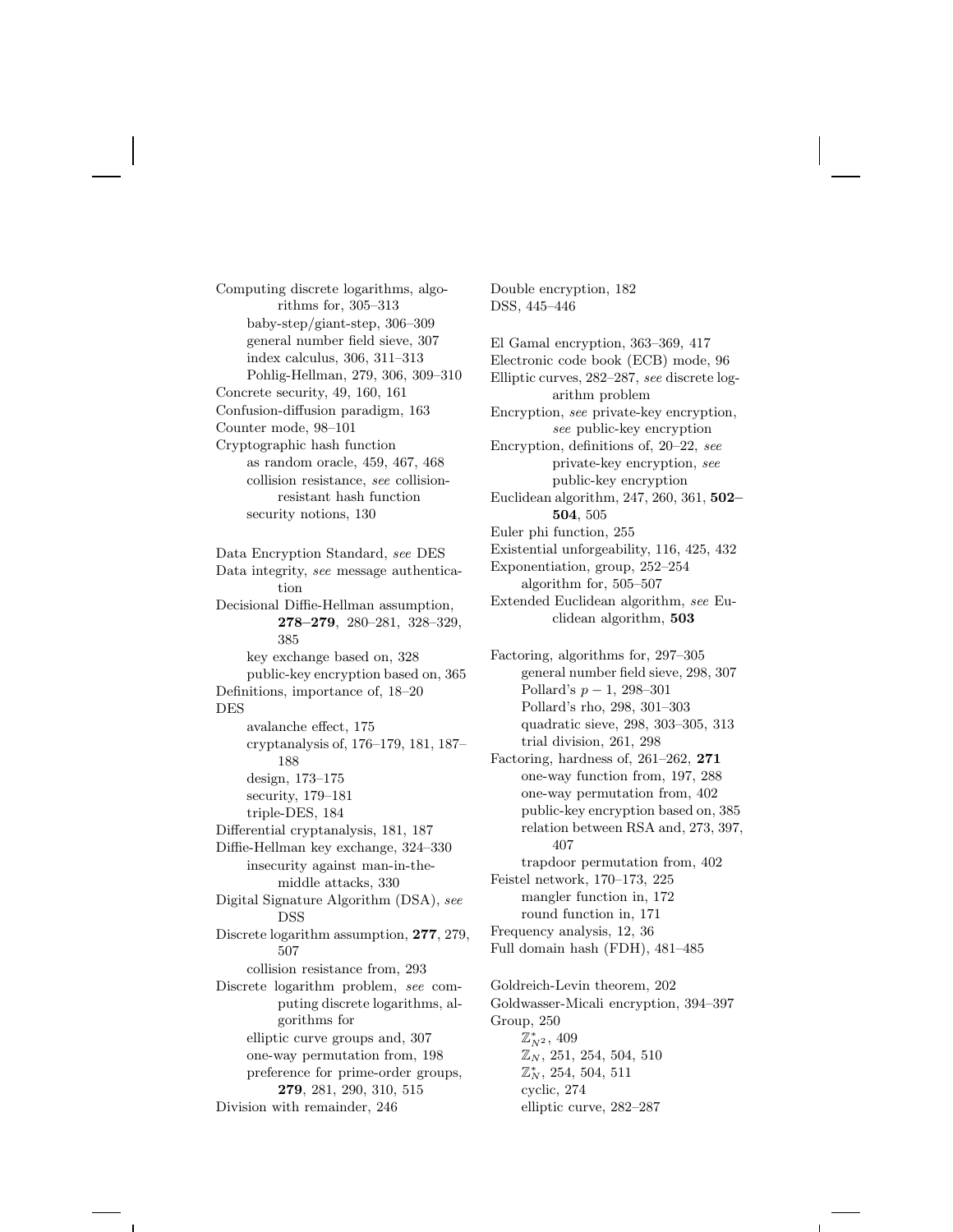Computing discrete logarithms, algorithms for, 305–313 baby-step/giant-step, 306–309 general number field sieve, 307 index calculus, 306, 311–313 Pohlig-Hellman, 279, 306, 309–310 Concrete security, 49, 160, 161 Confusion-diffusion paradigm, 163 Counter mode, 98–101 Cryptographic hash function as random oracle, 459, 467, 468 collision resistance, see collisionresistant hash function

security notions, 130

Data Encryption Standard, see DES Data integrity, see message authentication Decisional Diffie-Hellman assumption, 278–279, 280–281, 328–329, 385 key exchange based on, 328 public-key encryption based on, 365 Definitions, importance of, 18–20 DES avalanche effect, 175 cryptanalysis of, 176–179, 181, 187– 188 design, 173–175 security, 179–181 triple-DES, 184 Differential cryptanalysis, 181, 187 Diffie-Hellman key exchange, 324–330 insecurity against man-in-themiddle attacks, 330 Digital Signature Algorithm (DSA), see DSS Discrete logarithm assumption, 277, 279, 507 collision resistance from, 293 Discrete logarithm problem, see computing discrete logarithms, algorithms for elliptic curve groups and, 307 one-way permutation from, 198 preference for prime-order groups, 279, 281, 290, 310, 515 Division with remainder, 246

DSS, 445–446 El Gamal encryption, 363–369, 417 Electronic code book (ECB) mode, 96 Elliptic curves, 282–287, see discrete logarithm problem Encryption, see private-key encryption, see public-key encryption Encryption, definitions of, 20–22, see private-key encryption, see public-key encryption Euclidean algorithm, 247, 260, 361, 502– 504, 505 Euler phi function, 255 Existential unforgeability, 116, 425, 432 Exponentiation, group, 252–254 algorithm for, 505–507 Extended Euclidean algorithm, see Euclidean algorithm, 503 Factoring, algorithms for, 297–305

Double encryption, 182

general number field sieve, 298, 307 Pollard's  $p - 1$ , 298–301 Pollard's rho, 298, 301–303 quadratic sieve, 298, 303–305, 313 trial division, 261, 298

Factoring, hardness of, 261–262, 271 one-way function from, 197, 288 one-way permutation from, 402 public-key encryption based on, 385 relation between RSA and, 273, 397, 407

trapdoor permutation from, 402 Feistel network, 170–173, 225 mangler function in, 172 round function in, 171 Frequency analysis, 12, 36 Full domain hash (FDH), 481–485

Goldreich-Levin theorem, 202 Goldwasser-Micali encryption, 394–397 Group, 250  $\mathbb{Z}^*_{N^2}$ , 409  $\mathbb{Z}_N$ , 251, 254, 504, 510  $\mathbb{Z}_{N}^{*}$ , 254, 504, 511 cyclic, 274 elliptic curve, 282–287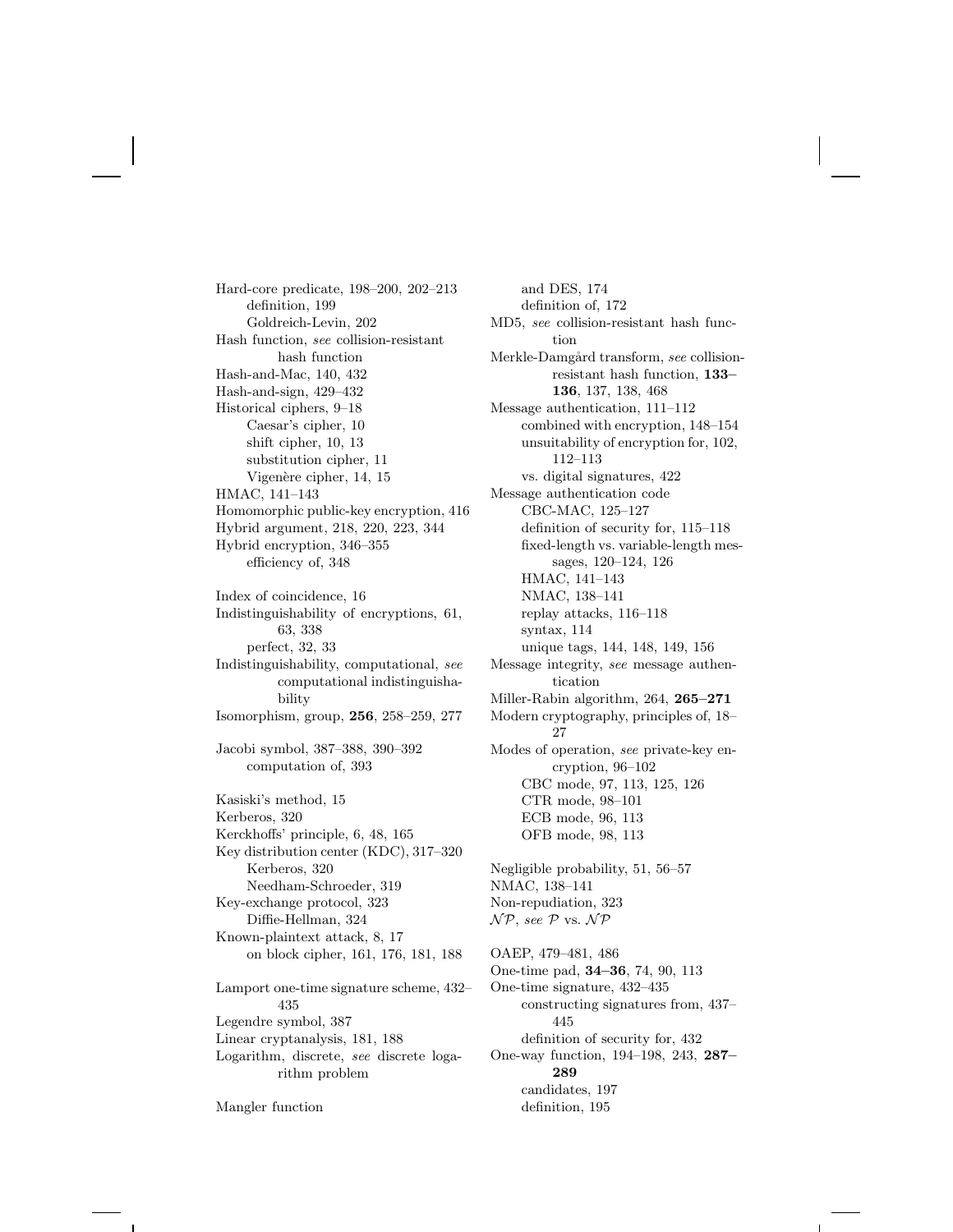Hard-core predicate, 198–200, 202–213 definition, 199 Goldreich-Levin, 202 Hash function, see collision-resistant hash function Hash-and-Mac, 140, 432 Hash-and-sign, 429–432 Historical ciphers, 9–18 Caesar's cipher, 10 shift cipher, 10, 13 substitution cipher, 11 Vigenère cipher, 14, 15 HMAC, 141–143 Homomorphic public-key encryption, 416 Hybrid argument, 218, 220, 223, 344 Hybrid encryption, 346–355 efficiency of, 348 Index of coincidence, 16 Indistinguishability of encryptions, 61, 63, 338 perfect, 32, 33 Indistinguishability, computational, see computational indistinguishability Isomorphism, group, 256, 258–259, 277 Jacobi symbol, 387–388, 390–392 computation of, 393 Kasiski's method, 15 Kerberos, 320 Kerckhoffs' principle, 6, 48, 165 Key distribution center (KDC), 317–320 Kerberos, 320 Needham-Schroeder, 319 Key-exchange protocol, 323 Diffie-Hellman, 324 Known-plaintext attack, 8, 17 on block cipher, 161, 176, 181, 188 Lamport one-time signature scheme, 432– 435 Legendre symbol, 387 Linear cryptanalysis, 181, 188 Logarithm, discrete, see discrete logarithm problem

Mangler function

and DES, 174 definition of, 172 MD5, see collision-resistant hash function Merkle-Damgård transform, see collisionresistant hash function, 133– 136, 137, 138, 468 Message authentication, 111–112 combined with encryption, 148–154 unsuitability of encryption for, 102, 112–113 vs. digital signatures, 422 Message authentication code CBC-MAC, 125–127 definition of security for, 115–118 fixed-length vs. variable-length messages, 120–124, 126 HMAC, 141–143 NMAC, 138–141 replay attacks, 116–118 syntax, 114 unique tags, 144, 148, 149, 156 Message integrity, see message authentication Miller-Rabin algorithm, 264, 265–271 Modern cryptography, principles of, 18– 27 Modes of operation, see private-key encryption, 96–102 CBC mode, 97, 113, 125, 126 CTR mode, 98–101 ECB mode, 96, 113 OFB mode, 98, 113 Negligible probability, 51, 56–57 NMAC, 138–141 Non-repudiation, 323  $\mathcal{NP}$ , see  $\mathcal{P}$  vs.  $\mathcal{NP}$ OAEP, 479–481, 486 One-time pad, 34–36, 74, 90, 113 One-time signature, 432–435 constructing signatures from, 437– 445

definition of security for, 432 One-way function, 194–198, 243, 287– 289 candidates, 197 definition, 195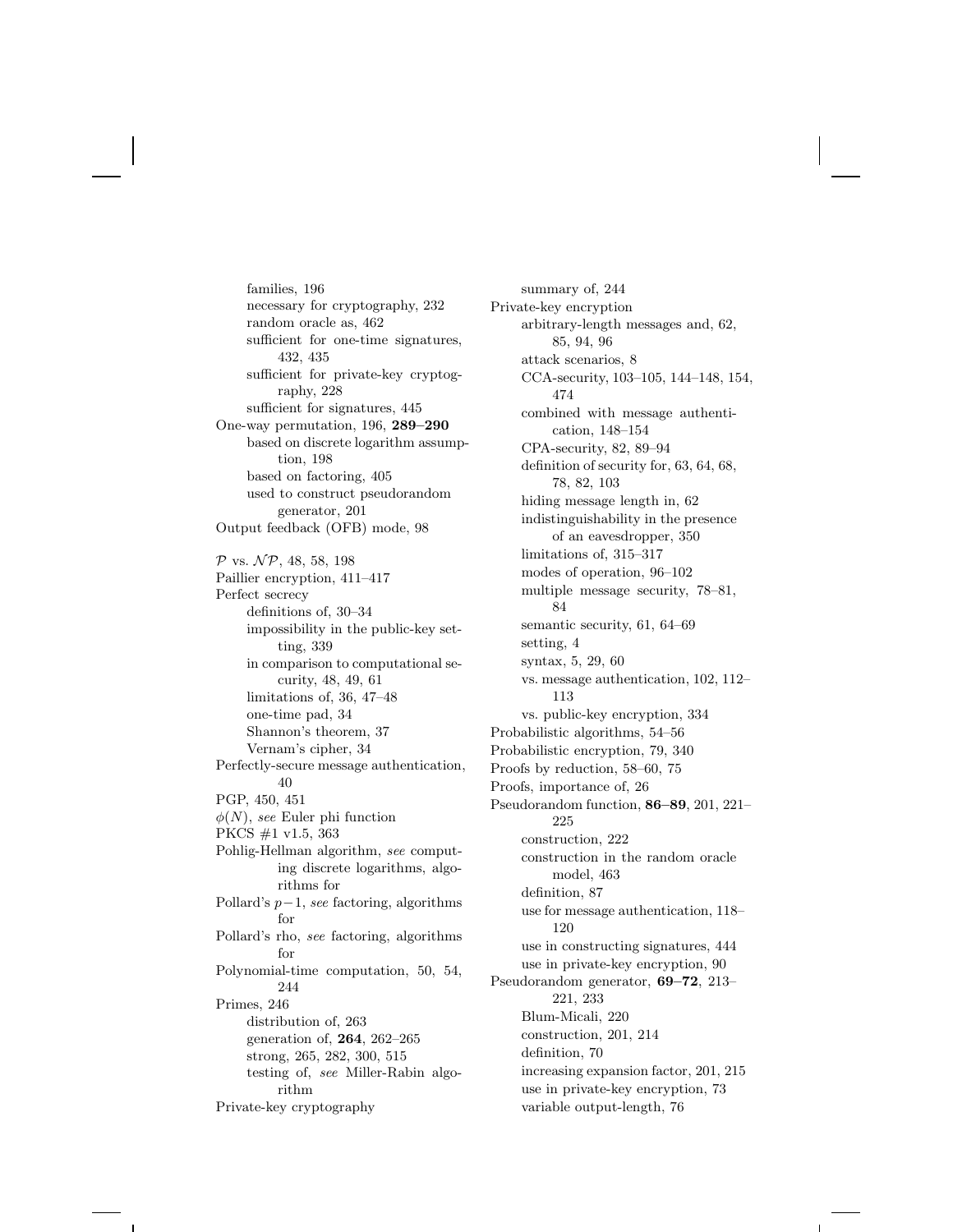families, 196 necessary for cryptography, 232 random oracle as, 462 sufficient for one-time signatures, 432, 435 sufficient for private-key cryptography, 228 sufficient for signatures, 445 One-way permutation, 196, 289–290 based on discrete logarithm assumption, 198 based on factoring, 405 used to construct pseudorandom generator, 201 Output feedback (OFB) mode, 98  $P$  vs.  $\mathcal{NP}$ , 48, 58, 198 Paillier encryption, 411–417 Perfect secrecy definitions of, 30–34 impossibility in the public-key setting, 339 in comparison to computational security, 48, 49, 61 limitations of, 36, 47–48 one-time pad, 34 Shannon's theorem, 37 Vernam's cipher, 34 Perfectly-secure message authentication, 40 PGP, 450, 451  $\phi(N)$ , see Euler phi function PKCS #1 v1.5, 363 Pohlig-Hellman algorithm, see computing discrete logarithms, algorithms for Pollard's p−1, see factoring, algorithms for Pollard's rho, see factoring, algorithms for Polynomial-time computation, 50, 54, 244 Primes, 246 distribution of, 263 generation of, 264, 262–265 strong, 265, 282, 300, 515 testing of, see Miller-Rabin algorithm Private-key cryptography

summary of, 244 Private-key encryption arbitrary-length messages and, 62, 85, 94, 96 attack scenarios, 8 CCA-security, 103–105, 144–148, 154, 474 combined with message authentication, 148–154 CPA-security, 82, 89–94 definition of security for, 63, 64, 68, 78, 82, 103 hiding message length in, 62 indistinguishability in the presence of an eavesdropper, 350 limitations of, 315–317 modes of operation, 96–102 multiple message security, 78–81, 84 semantic security, 61, 64–69 setting, 4 syntax, 5, 29, 60 vs. message authentication, 102, 112– 113 vs. public-key encryption, 334 Probabilistic algorithms, 54–56 Probabilistic encryption, 79, 340 Proofs by reduction, 58–60, 75 Proofs, importance of, 26 Pseudorandom function, 86–89, 201, 221– 225 construction, 222 construction in the random oracle model, 463 definition, 87 use for message authentication, 118– 120 use in constructing signatures, 444 use in private-key encryption, 90 Pseudorandom generator, 69–72, 213– 221, 233 Blum-Micali, 220 construction, 201, 214 definition, 70 increasing expansion factor, 201, 215 use in private-key encryption, 73 variable output-length, 76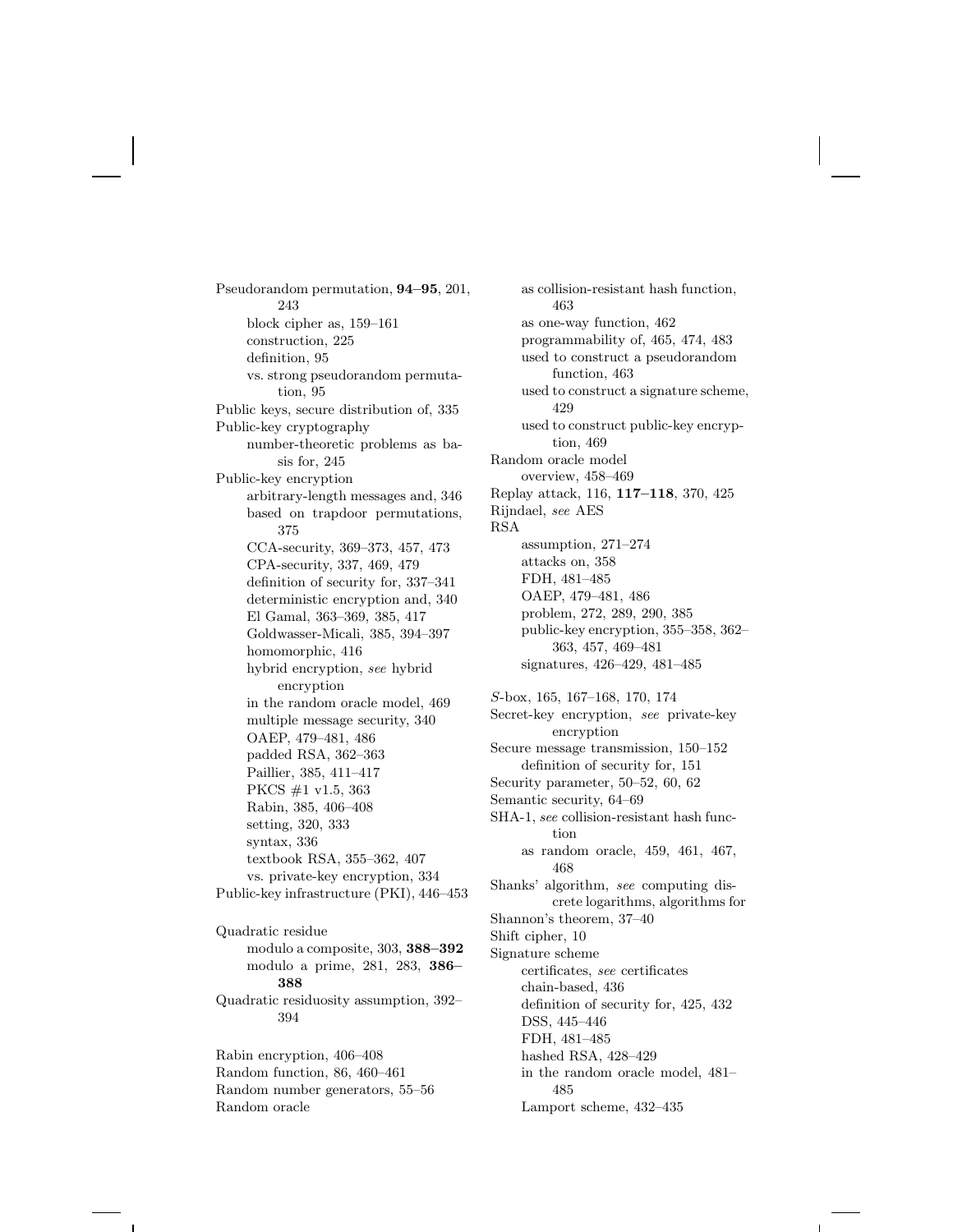Pseudorandom permutation, 94–95, 201, 243 block cipher as, 159–161 construction, 225 definition, 95 vs. strong pseudorandom permutation, 95 Public keys, secure distribution of, 335 Public-key cryptography number-theoretic problems as basis for, 245 Public-key encryption arbitrary-length messages and, 346 based on trapdoor permutations, 375 CCA-security, 369–373, 457, 473 CPA-security, 337, 469, 479 definition of security for, 337–341 deterministic encryption and, 340 El Gamal, 363–369, 385, 417 Goldwasser-Micali, 385, 394–397 homomorphic, 416 hybrid encryption, see hybrid encryption in the random oracle model, 469 multiple message security, 340 OAEP, 479–481, 486 padded RSA, 362–363 Paillier, 385, 411–417 PKCS #1 v1.5, 363 Rabin, 385, 406–408 setting, 320, 333 syntax, 336 textbook RSA, 355–362, 407 vs. private-key encryption, 334 Public-key infrastructure (PKI), 446–453 Quadratic residue modulo a composite, 303, 388–392 modulo a prime, 281, 283, 386– 388 Quadratic residuosity assumption, 392– 394 Rabin encryption, 406–408

Random function, 86, 460–461 Random number generators, 55–56 Random oracle

as collision-resistant hash function, 463 as one-way function, 462 programmability of, 465, 474, 483 used to construct a pseudorandom function, 463 used to construct a signature scheme, 429 used to construct public-key encryption, 469 Random oracle model overview, 458–469 Replay attack, 116, 117–118, 370, 425 Rijndael, see AES RSA assumption, 271–274 attacks on, 358 FDH, 481–485 OAEP, 479–481, 486 problem, 272, 289, 290, 385 public-key encryption, 355–358, 362– 363, 457, 469–481 signatures, 426–429, 481–485 S-box, 165, 167–168, 170, 174 Secret-key encryption, see private-key encryption Secure message transmission, 150–152 definition of security for, 151 Security parameter, 50–52, 60, 62 Semantic security, 64–69 SHA-1, see collision-resistant hash function as random oracle, 459, 461, 467, 468 Shanks' algorithm, see computing discrete logarithms, algorithms for Shannon's theorem, 37–40 Shift cipher, 10 Signature scheme certificates, see certificates chain-based, 436 definition of security for, 425, 432 DSS, 445–446 FDH, 481–485 hashed RSA, 428–429 in the random oracle model, 481– 485

Lamport scheme, 432–435